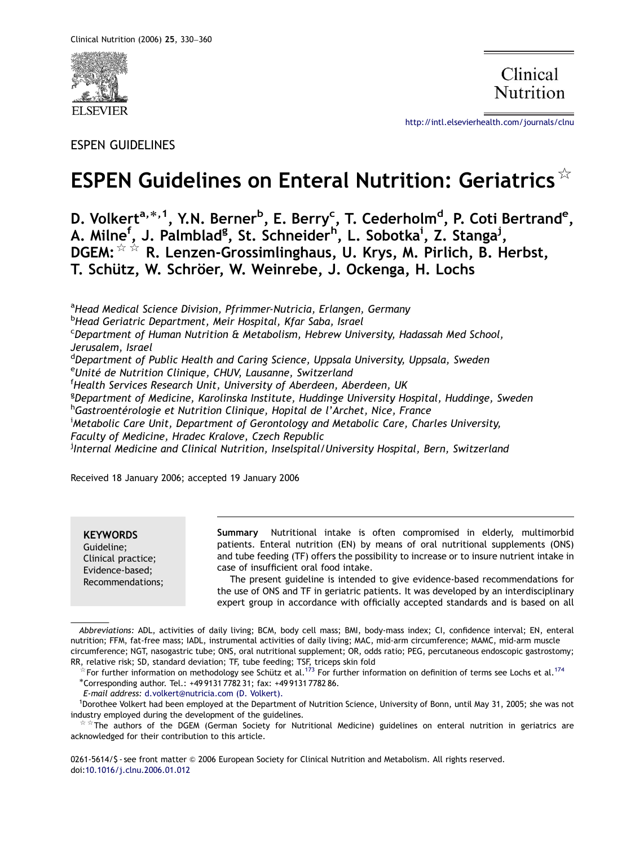

ESPEN GUIDELINES

Clinical Nutrition

<http://intl.elsevierhealth.com/journals/clnu>

# ESPEN Guidelines on Enteral Nutrition: Geriatrics  $\frac{1}{2}$

D. Volkert<sup>a,\*,1</sup>, Y.N. Berner<sup>b</sup>, E. Berry<sup>c</sup>, T. Cederholm<sup>d</sup>, P. Coti Bertrand<sup>e</sup>, A. Milne<sup>f</sup>, J. Palmblad<sup>g</sup>, St. Schneider<sup>h</sup>, L. Sobotka<sup>i</sup>, Z. Stanga<sup>j</sup>, DGEM:  $\forall x \in \mathbb{R}$ . Lenzen-Grossimlinghaus, U. Krys, M. Pirlich, B. Herbst, T. Schütz, W. Schröer, W. Weinrebe, J. Ockenga, H. Lochs

<sup>a</sup> Head Medical Science Division, Pfrimmer-Nutricia, Erlangen, Germany <sup>b</sup>Head Geriatric Department, Meir Hospital, Kfar Saba, Israel <sup>c</sup>Department of Human Nutrition & Metabolism, Hebrew University, Hadassah Med School, Jerusalem, Israel <sup>d</sup>Department of Public Health and Caring Science, Uppsala University, Uppsala, Sweden <sup>e</sup>Unité de Nutrition Clinique, CHUV, Lausanne, Switzerland <sup>f</sup>Health Services Research Unit, University of Aberdeen, Aberdeen, UK <sup>g</sup>Department of Medicine, Karolinska Institute, Huddinge University Hospital, Huddinge, Sweden <sup>h</sup>Gastroentérologie et Nutrition Clinique, Hopital de l'Archet, Nice, France <sup>i</sup> Metabolic Care Unit, Department of Gerontology and Metabolic Care, Charles University, Faculty of Medicine, Hradec Kralove, Czech Republic <sup>j</sup>Internal Medicine and Clinical Nutrition, Inselspital/University Hospital, Bern, Switzerland

Received 18 January 2006; accepted 19 January 2006

**KEYWORDS** Guideline; Clinical practice; Evidence-based; Recommendations; Summary Nutritional intake is often compromised in elderly, multimorbid patients. Enteral nutrition (EN) by means of oral nutritional supplements (ONS) and tube feeding (TF) offers the possibility to increase or to insure nutrient intake in case of insufficient oral food intake.

The present guideline is intended to give evidence-based recommendations for the use of ONS and TF in geriatric patients. It was developed by an interdisciplinary expert group in accordance with officially accepted standards and is based on all

0261-5614/\$ - see front matter @ 2006 European Society for Clinical Nutrition and Metabolism. All rights reserved. doi[:10.1016/j.clnu.2006.01.012](dx.doi.org/10.1016/j.clnu.2006.01.012)

Abbreviations: ADL, activities of daily living; BCM, body cell mass; BMI, body-mass index; CI, confidence interval; EN, enteral nutrition; FFM, fat-free mass; IADL, instrumental activities of daily living; MAC, mid-arm circumference; MAMC, mid-arm muscle circumference; NGT, nasogastric tube; ONS, oral nutritional supplement; OR, odds ratio; PEG, percutaneous endoscopic gastrostomy;

RR, relative risk; SD, standard deviation; TF, tube feeding; TSF, triceps skin fold  $\hat{F}$ or further information on definition of terms see Lochs et al.<sup>174</sup> For further information on definition of terms see Lochs et al Corresponding author. Tel.: +49 9131 7782 31; fax: +49 9131 7782 86.

E-mail address: [d.volkert@nutricia.com \(D. Volkert\).](mailto:d.volkert@nutricia.com)

<sup>1</sup> Dorothee Volkert had been employed at the Department of Nutrition Science, University of Bonn, until May 31, 2005; she was not industry employed during the development of the guidelines.<br> $\frac{\hat{x}}{\hat{y}}$ The authors of the DGEM (German Society for Nutritional Medicine) guidelines on enteral nutrition in geriatrics are

acknowledged for their contribution to this article.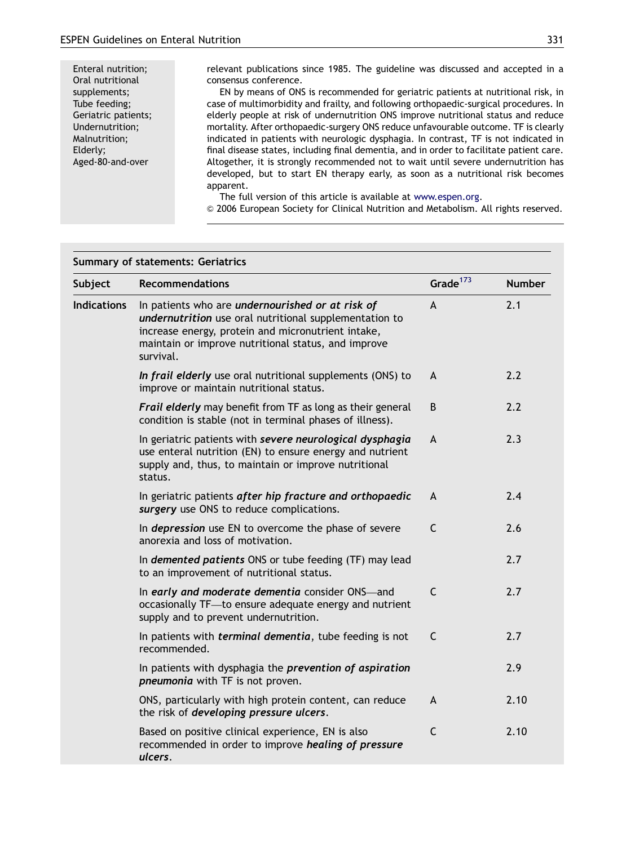Enteral nutrition; Oral nutritional supplements; Tube feeding; Geriatric patients; Undernutrition; Malnutrition; Elderly; Aged-80-and-over

relevant publications since 1985. The guideline was discussed and accepted in a consensus conference.

EN by means of ONS is recommended for geriatric patients at nutritional risk, in case of multimorbidity and frailty, and following orthopaedic-surgical procedures. In elderly people at risk of undernutrition ONS improve nutritional status and reduce mortality. After orthopaedic-surgery ONS reduce unfavourable outcome. TF is clearly indicated in patients with neurologic dysphagia. In contrast, TF is not indicated in final disease states, including final dementia, and in order to facilitate patient care. Altogether, it is strongly recommended not to wait until severe undernutrition has developed, but to start EN therapy early, as soon as a nutritional risk becomes apparent.

The full version of this article is available at [www.espen.org.](http://www.espen.org)

 $\odot$  2006 European Society for Clinical Nutrition and Metabolism. All rights reserved.

|                    | <b>Summary of statements: Geriatrics</b>                                                                                                                                                                                             |                      |               |
|--------------------|--------------------------------------------------------------------------------------------------------------------------------------------------------------------------------------------------------------------------------------|----------------------|---------------|
| Subject            | <b>Recommendations</b>                                                                                                                                                                                                               | Grade <sup>173</sup> | <b>Number</b> |
| <b>Indications</b> | In patients who are undernourished or at risk of<br>undernutrition use oral nutritional supplementation to<br>increase energy, protein and micronutrient intake,<br>maintain or improve nutritional status, and improve<br>survival. | A                    | 2.1           |
|                    | In frail elderly use oral nutritional supplements (ONS) to<br>improve or maintain nutritional status.                                                                                                                                | A                    | 2.2           |
|                    | Frail elderly may benefit from TF as long as their general<br>condition is stable (not in terminal phases of illness).                                                                                                               | B                    | 2.2           |
|                    | In geriatric patients with severe neurological dysphagia<br>use enteral nutrition (EN) to ensure energy and nutrient<br>supply and, thus, to maintain or improve nutritional<br>status.                                              | A                    | 2.3           |
|                    | In geriatric patients after hip fracture and orthopaedic<br>surgery use ONS to reduce complications.                                                                                                                                 | A                    | 2.4           |
|                    | In depression use EN to overcome the phase of severe<br>anorexia and loss of motivation.                                                                                                                                             | $\mathsf{C}$         | 2.6           |
|                    | In demented patients ONS or tube feeding (TF) may lead<br>to an improvement of nutritional status.                                                                                                                                   |                      | 2.7           |
|                    | In early and moderate dementia consider ONS-and<br>occasionally TF-to ensure adequate energy and nutrient<br>supply and to prevent undernutrition.                                                                                   | $\mathsf{C}$         | 2.7           |
|                    | In patients with <i>terminal dementia</i> , tube feeding is not<br>recommended.                                                                                                                                                      | $\mathsf{C}$         | 2.7           |
|                    | In patients with dysphagia the prevention of aspiration<br>pneumonia with TF is not proven.                                                                                                                                          |                      | 2.9           |
|                    | ONS, particularly with high protein content, can reduce<br>the risk of developing pressure ulcers.                                                                                                                                   | A                    | 2.10          |
|                    | Based on positive clinical experience, EN is also<br>recommended in order to improve healing of pressure<br>ulcers.                                                                                                                  | $\mathsf{C}$         | 2.10          |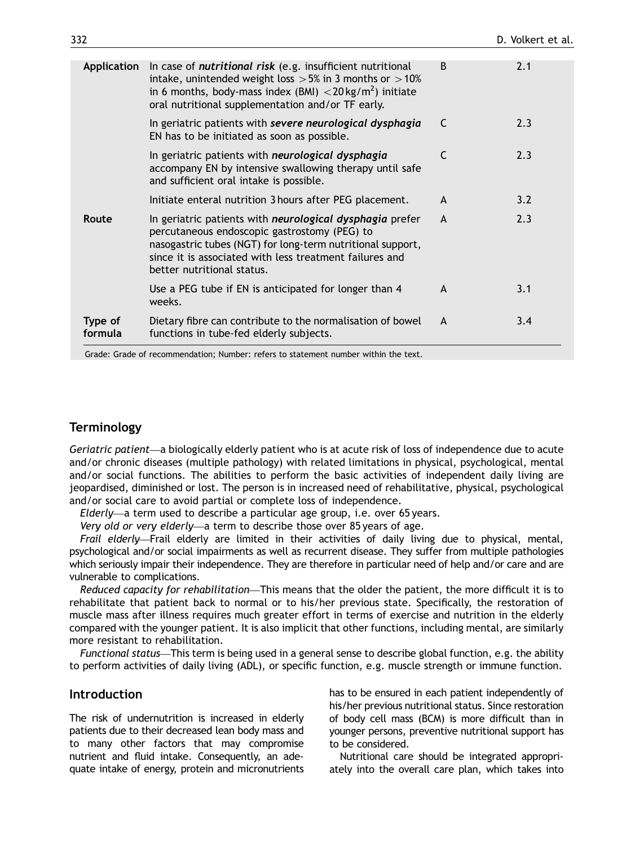| Application        | In case of <i>nutritional risk</i> (e.g. insufficient nutritional<br>intake, unintended weight loss $>5\%$ in 3 months or $>10\%$<br>in 6 months, body-mass index (BMI) $<$ 20 kg/m <sup>2</sup> ) initiate<br>oral nutritional supplementation and/or TF early.       | <sub>B</sub>  | 2.1 |
|--------------------|------------------------------------------------------------------------------------------------------------------------------------------------------------------------------------------------------------------------------------------------------------------------|---------------|-----|
|                    | In geriatric patients with severe neurological dysphagia<br>EN has to be initiated as soon as possible.                                                                                                                                                                | $\mathcal{C}$ | 2.3 |
|                    | In geriatric patients with neurological dysphagia<br>accompany EN by intensive swallowing therapy until safe<br>and sufficient oral intake is possible.                                                                                                                | C             | 2.3 |
|                    | Initiate enteral nutrition 3 hours after PEG placement.                                                                                                                                                                                                                | A             | 3.2 |
| Route              | In geriatric patients with <i>neurological dysphagia</i> prefer<br>percutaneous endoscopic gastrostomy (PEG) to<br>nasogastric tubes (NGT) for long-term nutritional support,<br>since it is associated with less treatment failures and<br>better nutritional status. | $\Delta$      | 2.3 |
|                    | Use a PEG tube if EN is anticipated for longer than 4<br>weeks.                                                                                                                                                                                                        | A             | 3.1 |
| Type of<br>formula | Dietary fibre can contribute to the normalisation of bowel<br>functions in tube-fed elderly subjects.                                                                                                                                                                  | A             | 3.4 |

Grade: Grade of recommendation; Number: refers to statement number within the text.

## Terminology

Geriatric patient—a biologically elderly patient who is at acute risk of loss of independence due to acute and/or chronic diseases (multiple pathology) with related limitations in physical, psychological, mental and/or social functions. The abilities to perform the basic activities of independent daily living are jeopardised, diminished or lost. The person is in increased need of rehabilitative, physical, psychological and/or social care to avoid partial or complete loss of independence.

Elderly—a term used to describe a particular age group, i.e. over 65 years.

Very old or very elderly—a term to describe those over 85 years of age.

Frail elderly—Frail elderly are limited in their activities of daily living due to physical, mental, psychological and/or social impairments as well as recurrent disease. They suffer from multiple pathologies which seriously impair their independence. They are therefore in particular need of help and/or care and are vulnerable to complications.

Reduced capacity for rehabilitation—This means that the older the patient, the more difficult it is to rehabilitate that patient back to normal or to his/her previous state. Specifically, the restoration of muscle mass after illness requires much greater effort in terms of exercise and nutrition in the elderly compared with the younger patient. It is also implicit that other functions, including mental, are similarly more resistant to rehabilitation.

Functional status—This term is being used in a general sense to describe global function, e.g. the ability to perform activities of daily living (ADL), or specific function, e.g. muscle strength or immune function.

#### Introduction

The risk of undernutrition is increased in elderly patients due to their decreased lean body mass and to many other factors that may compromise nutrient and fluid intake. Consequently, an adequate intake of energy, protein and micronutrients has to be ensured in each patient independently of his/her previous nutritional status. Since restoration of body cell mass (BCM) is more difficult than in younger persons, preventive nutritional support has to be considered.

Nutritional care should be integrated appropriately into the overall care plan, which takes into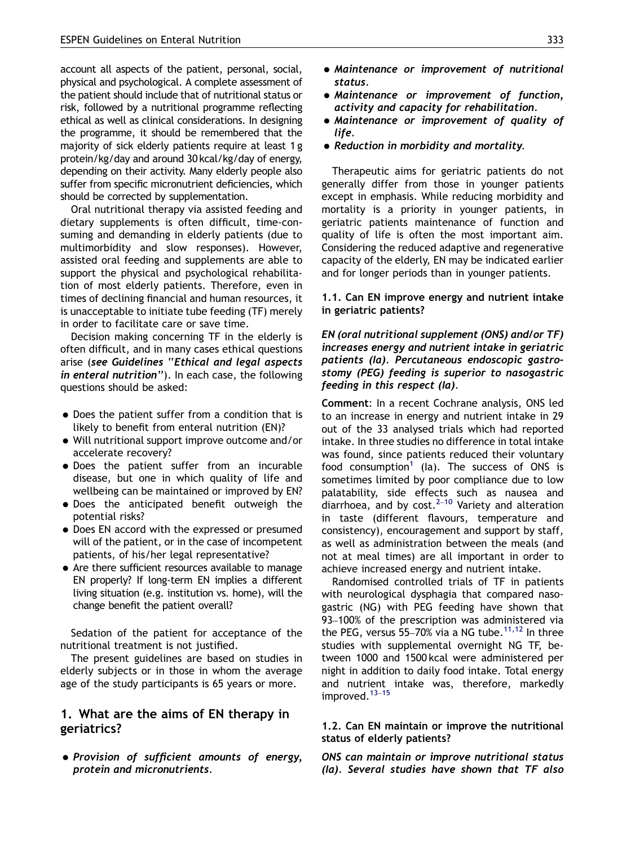account all aspects of the patient, personal, social, physical and psychological. A complete assessment of the patient should include that of nutritional status or risk, followed by a nutritional programme reflecting ethical as well as clinical considerations. In designing the programme, it should be remembered that the majority of sick elderly patients require at least 1 g protein/kg/day and around 30 kcal/kg/day of energy, depending on their activity. Many elderly people also suffer from specific micronutrient deficiencies, which should be corrected by supplementation.

Oral nutritional therapy via assisted feeding and dietary supplements is often difficult, time-consuming and demanding in elderly patients (due to multimorbidity and slow responses). However, assisted oral feeding and supplements are able to support the physical and psychological rehabilitation of most elderly patients. Therefore, even in times of declining financial and human resources, it is unacceptable to initiate tube feeding (TF) merely in order to facilitate care or save time.

Decision making concerning TF in the elderly is often difficult, and in many cases ethical questions arise (see Guidelines ''Ethical and legal aspects in enteral nutrition"). In each case, the following questions should be asked:

- Does the patient suffer from a condition that is likely to benefit from enteral nutrition (EN)?
- Will nutritional support improve outcome and/or accelerate recovery?
- Does the patient suffer from an incurable disease, but one in which quality of life and wellbeing can be maintained or improved by EN?
- Does the anticipated benefit outweigh the potential risks?
- Does EN accord with the expressed or presumed will of the patient, or in the case of incompetent patients, of his/her legal representative?
- Are there sufficient resources available to manage EN properly? If long-term EN implies a different living situation (e.g. institution vs. home), will the change benefit the patient overall?

Sedation of the patient for acceptance of the nutritional treatment is not justified.

The present guidelines are based on studies in elderly subjects or in those in whom the average age of the study participants is 65 years or more.

## 1. What are the aims of EN therapy in geriatrics?

• Provision of sufficient amounts of energy, protein and micronutrients.

- Maintenance or improvement of nutritional status.
- Maintenance or improvement of function, activity and capacity for rehabilitation.
- Maintenance or improvement of quality of life.
- Reduction in morbidity and mortality.

Therapeutic aims for geriatric patients do not generally differ from those in younger patients except in emphasis. While reducing morbidity and mortality is a priority in younger patients, in geriatric patients maintenance of function and quality of life is often the most important aim. Considering the reduced adaptive and regenerative capacity of the elderly, EN may be indicated earlier and for longer periods than in younger patients.

#### 1.1. Can EN improve energy and nutrient intake in geriatric patients?

EN (oral nutritional supplement (ONS) and/or TF) increases energy and nutrient intake in geriatric patients (Ia). Percutaneous endoscopic gastrostomy (PEG) feeding is superior to nasogastric feeding in this respect (Ia).

Comment: In a recent Cochrane analysis, ONS led to an increase in energy and nutrient intake in 29 out of the 33 analysed trials which had reported intake. In three studies no difference in total intake was found, since patients reduced their voluntary food consumption<sup>[1](#page-25-0)</sup> (la). The success of ONS is sometimes limited by poor compliance due to low palatability, side effects such as nausea and diarrhoea, and by cost. $2-10$  $2-10$  Variety and alteration in taste (different flavours, temperature and consistency), encouragement and support by staff, as well as administration between the meals (and not at meal times) are all important in order to achieve increased energy and nutrient intake.

Randomised controlled trials of TF in patients with neurological dysphagia that compared nasogastric (NG) with PEG feeding have shown that 93–100% of the prescription was administered via the PEG, versus 55-70% via a NG tube.<sup>[11,12](#page-26-0)</sup> In three studies with supplemental overnight NG TF, between 1000 and 1500 kcal were administered per night in addition to daily food intake. Total energy and nutrient intake was, therefore, markedly improved.<sup>[13](#page-26-0)-15</sup>

#### 1.2. Can EN maintain or improve the nutritional status of elderly patients?

ONS can maintain or improve nutritional status (Ia). Several studies have shown that TF also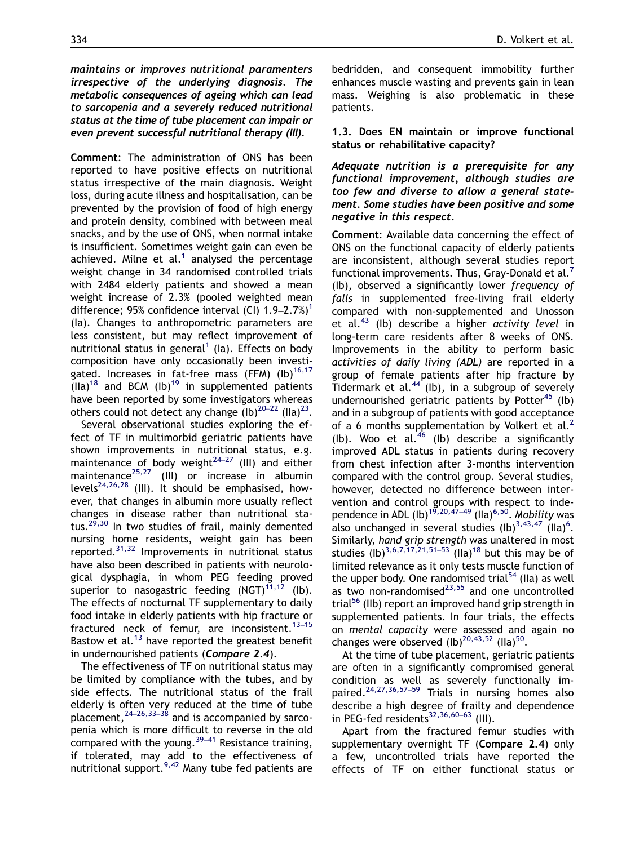maintains or improves nutritional paramenters irrespective of the underlying diagnosis. The metabolic consequences of ageing which can lead to sarcopenia and a severely reduced nutritional status at the time of tube placement can impair or even prevent successful nutritional therapy (III).

Comment: The administration of ONS has been reported to have positive effects on nutritional status irrespective of the main diagnosis. Weight loss, during acute illness and hospitalisation, can be prevented by the provision of food of high energy and protein density, combined with between meal snacks, and by the use of ONS, when normal intake is insufficient. Sometimes weight gain can even be achieved. Milne et al.<sup>[1](#page-25-0)</sup> analysed the percentage weight change in 34 randomised controlled trials with 2484 elderly patients and showed a mean weight increase of 2.3% (pooled weighted mean difference; 95% confidence interval (CI)  $1.9-2.7\%)$  $1.9-2.7\%)$ <sup>1</sup> (Ia). Changes to anthropometric parameters are less consistent, but may reflect improvement of nutritional status in general<sup>[1](#page-25-0)</sup> (Ia). Effects on body composition have only occasionally been investigated. Increases in fat-free mass (FFM)  $(lb)^{16,17}$  $(lb)^{16,17}$  $(lb)^{16,17}$  $(IIa)^{18}$  $(IIa)^{18}$  $(IIa)^{18}$  and BCM  $(IIb)^{19}$  $(IIb)^{19}$  $(IIb)^{19}$  in supplemented patients have been reported by some investigators whereas others could not detect any change  $(1b)^{20-22}$  $(1b)^{20-22}$  $(1b)^{20-22}$  (IIa)<sup>23</sup>.

Several observational studies exploring the effect of TF in multimorbid geriatric patients have shown improvements in nutritional status, e.g. maintenance of body weight $24-27$  $24-27$  (III) and either maintenance<sup>[25,27](#page-26-0)</sup> (III) or increase in albumin levels<sup>[24,26,28](#page-26-0)</sup> (III). It should be emphasised, however, that changes in albumin more usually reflect changes in disease rather than nutritional sta-tus.<sup>[29,30](#page-26-0)</sup> In two studies of frail, mainly demented nursing home residents, weight gain has been reported.[31,32](#page-26-0) Improvements in nutritional status have also been described in patients with neurological dysphagia, in whom PEG feeding proved superior to nasogastric feeding  $(NGT)^{11,12}$  $(NGT)^{11,12}$  $(NGT)^{11,12}$  (lb). The effects of nocturnal TF supplementary to daily food intake in elderly patients with hip fracture or fractured neck of femur, are inconsistent.  $13-15$  $13-15$ Bastow et al. $^{13}$  $^{13}$  $^{13}$  have reported the greatest benefit in undernourished patients (Compare 2.4).

The effectiveness of TF on nutritional status may be limited by compliance with the tubes, and by side effects. The nutritional status of the frail elderly is often very reduced at the time of tube placement,  $24-26,33-38$  $24-26,33-38$  $24-26,33-38$  and is accompanied by sarcopenia which is more difficult to reverse in the old compared with the young. $39-41$  $39-41$  Resistance training, if tolerated, may add to the effectiveness of nutritional support.<sup>[9,42](#page-26-0)</sup> Many tube fed patients are bedridden, and consequent immobility further enhances muscle wasting and prevents gain in lean mass. Weighing is also problematic in these patients.

1.3. Does EN maintain or improve functional status or rehabilitative capacity?

Adequate nutrition is a prerequisite for any functional improvement, although studies are too few and diverse to allow a general statement. Some studies have been positive and some negative in this respect.

Comment: Available data concerning the effect of ONS on the functional capacity of elderly patients are inconsistent, although several studies report functional improvements. Thus, Gray-Donald et al. $'$ (Ib), observed a significantly lower frequency of falls in supplemented free-living frail elderly compared with non-supplemented and Unosson et al. $43$  (lb) describe a higher *activity level* in long-term care residents after 8 weeks of ONS. Improvements in the ability to perform basic activities of daily living (ADL) are reported in a group of female patients after hip fracture by Tidermark et al. $44$  (lb), in a subgroup of severely undernourished geriatric patients by Potter $45$  (lb) and in a subgroup of patients with good acceptance of a 6 months supplementation by Volkert et al.<sup>[2](#page-25-0)</sup> (Ib). Woo et al.  $46$  (Ib) describe a significantly improved ADL status in patients during recovery from chest infection after 3-months intervention compared with the control group. Several studies, however, detected no difference between intervention and control groups with respect to inde-pendence in ADL (Ib)<sup>[19,20,47](#page-26-0)–49</sup> (Ila)<sup>[6,50](#page-25-0)</sup>. Mobility was also unchanged in several studies  $(lb)^{3,43,47}$  $(lb)^{3,43,47}$  $(lb)^{3,43,47}$  (IIa)<sup>[6](#page-25-0)</sup>. Similarly, hand grip strength was unaltered in most studies  $(Ib)^{3,6,7,17,21,51-53}$  $(Ib)^{3,6,7,17,21,51-53}$  $(Ib)^{3,6,7,17,21,51-53}$  (IIa)<sup>[18](#page-26-0)</sup> but this may be of limited relevance as it only tests muscle function of the upper body. One randomised trial<sup>[54](#page-27-0)</sup> (IIa) as well as two non-randomised $^{23,55}$  $^{23,55}$  $^{23,55}$  and one uncontrolled trial<sup>[56](#page-27-0)</sup> (IIb) report an improved hand grip strength in supplemented patients. In four trials, the effects on mental capacity were assessed and again no changes were observed  $(lb)^{20,43,52}$  $(lb)^{20,43,52}$  $(lb)^{20,43,52}$  (IIa)<sup>50</sup>.

At the time of tube placement, geriatric patients are often in a significantly compromised general condition as well as severely functionally im-paired.<sup>[24,27,36,57](#page-26-0)–59</sup> Trials in nursing homes also describe a high degree of frailty and dependence in PEG-fed residents<sup>[32,36,60](#page-26-0)–63</sup> (III).

Apart from the fractured femur studies with supplementary overnight TF (Compare 2.4) only a few, uncontrolled trials have reported the effects of TF on either functional status or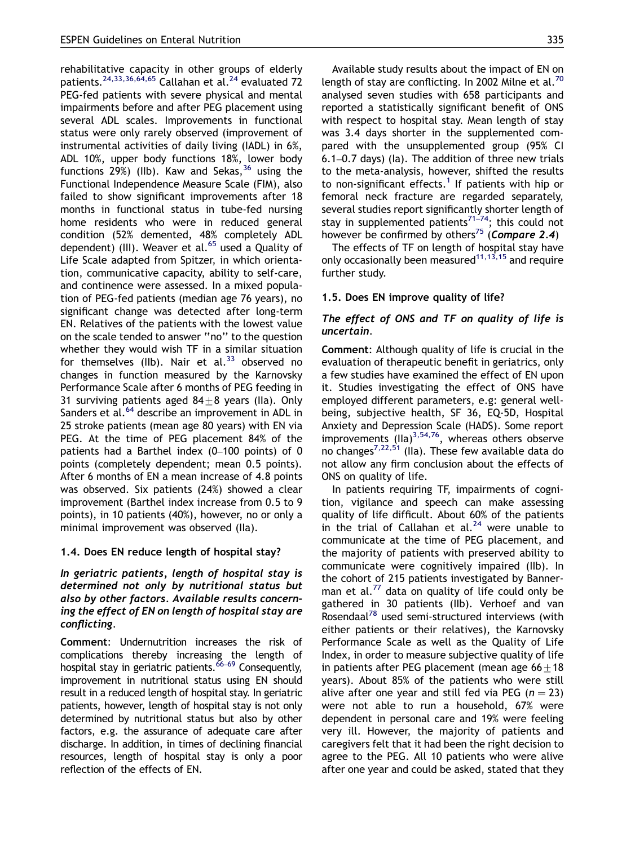rehabilitative capacity in other groups of elderly patients.<sup>[24,33,36,64,65](#page-26-0)</sup> Callahan et al.<sup>[24](#page-26-0)</sup> evaluated 72 PEG-fed patients with severe physical and mental impairments before and after PEG placement using several ADL scales. Improvements in functional status were only rarely observed (improvement of instrumental activities of daily living (IADL) in 6%, ADL 10%, upper body functions 18%, lower body functions  $29\%$ ) (IIb). Kaw and Sekas,  $36$  using the Functional Independence Measure Scale (FIM), also failed to show significant improvements after 18 months in functional status in tube-fed nursing home residents who were in reduced general condition (52% demented, 48% completely ADL dependent) (III). Weaver et al. $65$  used a Quality of Life Scale adapted from Spitzer, in which orientation, communicative capacity, ability to self-care, and continence were assessed. In a mixed population of PEG-fed patients (median age 76 years), no significant change was detected after long-term EN. Relatives of the patients with the lowest value on the scale tended to answer ''no'' to the question whether they would wish TF in a similar situation for themselves (IIb). Nair et al. $33$  observed no changes in function measured by the Karnovsky Performance Scale after 6 months of PEG feeding in 31 surviving patients aged  $84\pm8$  years (IIa). Only Sanders et al.<sup>[64](#page-27-0)</sup> describe an improvement in ADL in 25 stroke patients (mean age 80 years) with EN via PEG. At the time of PEG placement 84% of the patients had a Barthel index (0–100 points) of 0 points (completely dependent; mean 0.5 points). After 6 months of EN a mean increase of 4.8 points was observed. Six patients (24%) showed a clear improvement (Barthel index increase from 0.5 to 9 points), in 10 patients (40%), however, no or only a minimal improvement was observed (IIa).

#### 1.4. Does EN reduce length of hospital stay?

#### In geriatric patients, length of hospital stay is determined not only by nutritional status but also by other factors. Available results concerning the effect of EN on length of hospital stay are conflicting.

Comment: Undernutrition increases the risk of complications thereby increasing the length of hospital stay in geriatric patients.<sup>[66](#page-27-0)-69</sup> Consequently. improvement in nutritional status using EN should result in a reduced length of hospital stay. In geriatric patients, however, length of hospital stay is not only determined by nutritional status but also by other factors, e.g. the assurance of adequate care after discharge. In addition, in times of declining financial resources, length of hospital stay is only a poor reflection of the effects of EN.

Available study results about the impact of EN on length of stay are conflicting. In 2002 Milne et al.<sup>[70](#page-27-0)</sup> analysed seven studies with 658 participants and reported a statistically significant benefit of ONS with respect to hospital stay. Mean length of stay was 3.4 days shorter in the supplemented compared with the unsupplemented group (95% CI 6.1–0.7 days) (Ia). The addition of three new trials to the meta-analysis, however, shifted the results to non-significant effects.<sup>[1](#page-25-0)</sup> If patients with hip or femoral neck fracture are regarded separately, several studies report significantly shorter length of stay in supplemented patients<sup>71–[74](#page-27-0)</sup>; this could not however be confirmed by others<sup>[75](#page-27-0)</sup> (Compare 2.4)

The effects of TF on length of hospital stay have only occasionally been measured<sup>[11,13,15](#page-26-0)</sup> and require further study.

#### 1.5. Does EN improve quality of life?

#### The effect of ONS and TF on quality of life is uncertain.

Comment: Although quality of life is crucial in the evaluation of therapeutic benefit in geriatrics, only a few studies have examined the effect of EN upon it. Studies investigating the effect of ONS have employed different parameters, e.g: general wellbeing, subjective health, SF 36, EQ-5D, Hospital Anxiety and Depression Scale (HADS). Some report improvements  $(IIa)^{3,54,76}$  $(IIa)^{3,54,76}$  $(IIa)^{3,54,76}$ , whereas others observe no changes<sup>[7,22,51](#page-25-0)</sup> (IIa). These few available data do not allow any firm conclusion about the effects of ONS on quality of life.

In patients requiring TF, impairments of cognition, vigilance and speech can make assessing quality of life difficult. About 60% of the patients in the trial of Callahan et al. $^{24}$  $^{24}$  $^{24}$  were unable to communicate at the time of PEG placement, and the majority of patients with preserved ability to communicate were cognitively impaired (IIb). In the cohort of 215 patients investigated by Bannerman et al. $^{77}$  $^{77}$  $^{77}$  data on quality of life could only be gathered in 30 patients (IIb). Verhoef and van Rosendaal<sup>[78](#page-27-0)</sup> used semi-structured interviews (with either patients or their relatives), the Karnovsky Performance Scale as well as the Quality of Life Index, in order to measure subjective quality of life in patients after PEG placement (mean age  $66\pm18$ years). About 85% of the patients who were still alive after one year and still fed via PEG ( $n = 23$ ) were not able to run a household, 67% were dependent in personal care and 19% were feeling very ill. However, the majority of patients and caregivers felt that it had been the right decision to agree to the PEG. All 10 patients who were alive after one year and could be asked, stated that they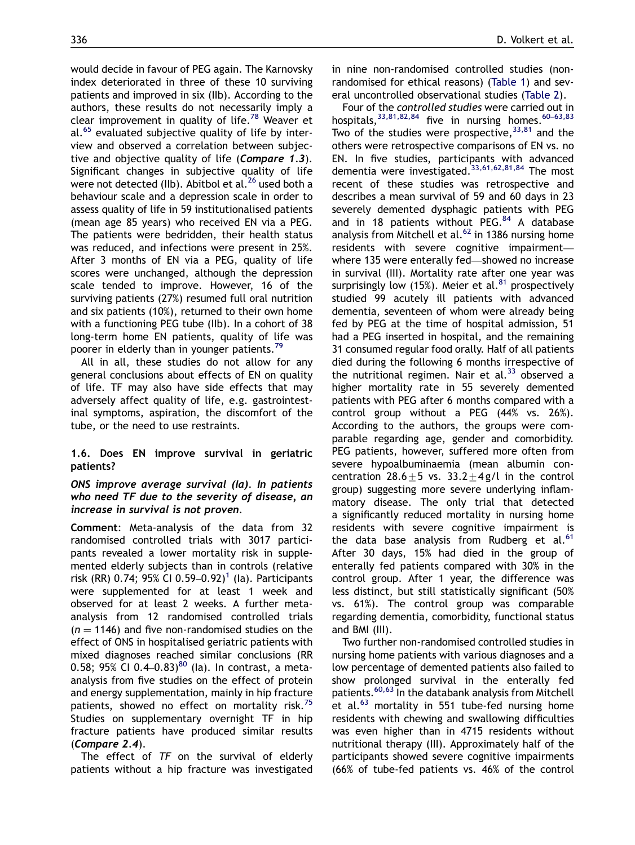would decide in favour of PEG again. The Karnovsky index deteriorated in three of these 10 surviving patients and improved in six (IIb). According to the authors, these results do not necessarily imply a clear improvement in quality of life.<sup>[78](#page-27-0)</sup> Weaver et al. $^{65}$  $^{65}$  $^{65}$  evaluated subjective quality of life by interview and observed a correlation between subjective and objective quality of life (Compare 1.3). Significant changes in subjective quality of life were not detected (IIb). Abitbol et al.<sup>[26](#page-26-0)</sup> used both a behaviour scale and a depression scale in order to assess quality of life in 59 institutionalised patients (mean age 85 years) who received EN via a PEG. The patients were bedridden, their health status was reduced, and infections were present in 25%. After 3 months of EN via a PEG, quality of life scores were unchanged, although the depression scale tended to improve. However, 16 of the surviving patients (27%) resumed full oral nutrition and six patients (10%), returned to their own home with a functioning PEG tube (IIb). In a cohort of 38 long-term home EN patients, quality of life was poorer in elderly than in younger patients.<sup>[79](#page-27-0)</sup>

All in all, these studies do not allow for any general conclusions about effects of EN on quality of life. TF may also have side effects that may adversely affect quality of life, e.g. gastrointestinal symptoms, aspiration, the discomfort of the tube, or the need to use restraints.

#### 1.6. Does EN improve survival in geriatric patients?

### ONS improve average survival (Ia). In patients who need TF due to the severity of disease, an increase in survival is not proven.

Comment: Meta-analysis of the data from 32 randomised controlled trials with 3017 participants revealed a lower mortality risk in supplemented elderly subjects than in controls (relative risk (RR) 0.74; 95% CI 0.59–0.92)<sup>[1](#page-25-0)</sup> (la). Participants were supplemented for at least 1 week and observed for at least 2 weeks. A further metaanalysis from 12 randomised controlled trials  $(n = 1146)$  and five non-randomised studies on the effect of ONS in hospitalised geriatric patients with mixed diagnoses reached similar conclusions (RR 0.58; 95% CI 0.4–0.83)<sup>[80](#page-27-0)</sup> (la). In contrast, a metaanalysis from five studies on the effect of protein and energy supplementation, mainly in hip fracture patients, showed no effect on mortality risk.<sup>[75](#page-27-0)</sup> Studies on supplementary overnight TF in hip fracture patients have produced similar results (Compare 2.4).

The effect of TF on the survival of elderly patients without a hip fracture was investigated in nine non-randomised controlled studies (nonrandomised for ethical reasons) [\(Table 1\)](#page-7-0) and several uncontrolled observational studies ([Table 2\)](#page-9-0).

Four of the controlled studies were carried out in hospitals,  $33,81,82,84$  five in nursing homes.  $60-63,83$  $60-63,83$ Two of the studies were prospective,  $33,81$  and the others were retrospective comparisons of EN vs. no EN. In five studies, participants with advanced dementia were investigated.<sup>[33,61,62,81,84](#page-26-0)</sup> The most recent of these studies was retrospective and describes a mean survival of 59 and 60 days in 23 severely demented dysphagic patients with PEG and in 18 patients without PEG. $84$  A database analysis from Mitchell et al. $^{62}$  $^{62}$  $^{62}$  in 1386 nursing home residents with severe cognitive impairment where 135 were enterally fed—showed no increase in survival (III). Mortality rate after one year was surprisingly low (15%). Meier et al. $81$  prospectively studied 99 acutely ill patients with advanced dementia, seventeen of whom were already being fed by PEG at the time of hospital admission, 51 had a PEG inserted in hospital, and the remaining 31 consumed regular food orally. Half of all patients died during the following 6 months irrespective of the nutritional regimen. Nair et al. $33$  observed a higher mortality rate in 55 severely demented patients with PEG after 6 months compared with a control group without a PEG (44% vs. 26%). According to the authors, the groups were comparable regarding age, gender and comorbidity. PEG patients, however, suffered more often from severe hypoalbuminaemia (mean albumin concentration 28.6 $\pm$ 5 vs. 33.2 $\pm$ 4 g/l in the control group) suggesting more severe underlying inflammatory disease. The only trial that detected a significantly reduced mortality in nursing home residents with severe cognitive impairment is the data base analysis from Rudberg et al. $61$ After 30 days, 15% had died in the group of enterally fed patients compared with 30% in the control group. After 1 year, the difference was less distinct, but still statistically significant (50% vs. 61%). The control group was comparable regarding dementia, comorbidity, functional status and BMI (III).

Two further non-randomised controlled studies in nursing home patients with various diagnoses and a low percentage of demented patients also failed to show prolonged survival in the enterally fed patients.<sup>[60,63](#page-27-0)</sup> In the databank analysis from Mitchell et al. $^{63}$  $^{63}$  $^{63}$  mortality in 551 tube-fed nursing home residents with chewing and swallowing difficulties was even higher than in 4715 residents without nutritional therapy (III). Approximately half of the participants showed severe cognitive impairments (66% of tube-fed patients vs. 46% of the control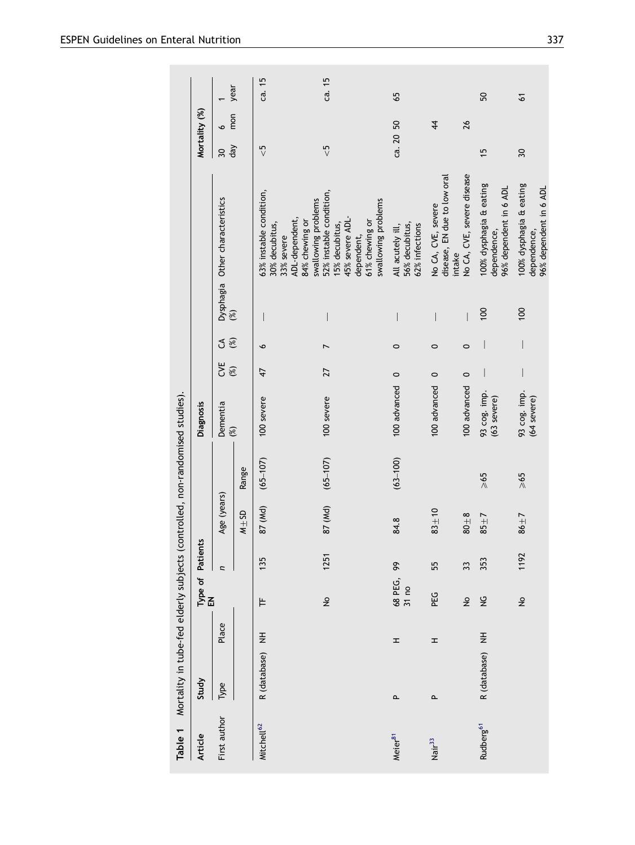<span id="page-7-0"></span>

| Table 1                | Mortality in tube-fed elderly subjects (controlled, non-randomised studies). |                |                  |                        |             |              |                             |                          |                          |     |                                                                                                                                            |                        |        |
|------------------------|------------------------------------------------------------------------------|----------------|------------------|------------------------|-------------|--------------|-----------------------------|--------------------------|--------------------------|-----|--------------------------------------------------------------------------------------------------------------------------------------------|------------------------|--------|
| Article                | Study                                                                        |                |                  | Type of Patients<br>EN |             |              | <b>Diagnosis</b>            |                          |                          |     |                                                                                                                                            | Mortality (%)          |        |
| First author           | Type                                                                         | Place          |                  | U                      | Age (years) |              | Dementia                    | <b>CYE</b><br>$(\%)$     | (%)<br>$\mathfrak{S}$    |     | Dysphagia Other characteristics                                                                                                            | $\bullet$<br>$\approx$ |        |
|                        |                                                                              |                |                  |                        | $M \pm SD$  | Range        | $(\%)$                      |                          |                          | (%) |                                                                                                                                            | mon<br>day             | year   |
| Mitchell <sup>62</sup> | R (database)                                                                 | E              | ⊭                | 135                    | 87 (Md)     | $(65 - 107)$ | 100 severe                  | 47                       | ∘                        |     | 63% instable condition,<br>ADL-dependent,<br>84% chewing or<br>30% decubitus,<br>33% severe                                                | $\frac{1}{\sqrt{2}}$   | ca. 15 |
|                        |                                                                              |                | $\frac{1}{2}$    | 1251                   | 87 (Md)     | $(65 - 107)$ | 100 severe                  | 27                       |                          |     | 52% instable condition,<br>swallowing problems<br>swallowing problems<br>45% severe ADL-<br>61% chewing or<br>15% decubitus,<br>dependent, | $\frac{5}{\sqrt{2}}$   | ca. 15 |
| Meier <sup>81</sup>    | ௨                                                                            | H              | 68 PEG,<br>31 no | 99                     | 84.8        | $(63 - 100)$ | 100 advanced                | $\circ$                  | $\circ$                  |     | 56% decubitus,<br>62% infections<br>All acutely ill,                                                                                       | ca. 20 50              | 65     |
| Nair <sup>33</sup>     | ௨                                                                            | $\pm$          | PEG              | 55                     | $83 + 10$   |              | 100 advanced                | $\circ$                  | $\circ$                  |     | disease, EN due to low oral<br>No CA, CVE, severe<br>intake                                                                                | $\frac{4}{3}$          |        |
|                        |                                                                              |                | $\frac{1}{2}$    | 33                     | $80 + 8$    |              | 100 advanced                | $\circ$                  | $\circ$                  | I   | No CA, CVE, severe disease                                                                                                                 | 26                     |        |
| Rudberg <sup>61</sup>  | R (database)                                                                 | $\overline{z}$ | š                | 353                    | $85 + 7$    | 59 <         | 93 cog. imp.<br>(63 severe) | $\overline{\phantom{a}}$ | $\overline{\phantom{a}}$ | 100 | 100% dysphagia & eating<br>96% dependent in 6 ADL<br>dependence,                                                                           | $\frac{1}{2}$          | 50     |
|                        |                                                                              |                | $\frac{1}{2}$    | 1192                   | $26 + 7$    | 59<          | 93 cog. imp.<br>(64 severe) |                          | $\bigg $                 | 100 | 100% dysphagia & eating<br>96% dependent in 6 ADL<br>dependence,                                                                           | 30                     | 2      |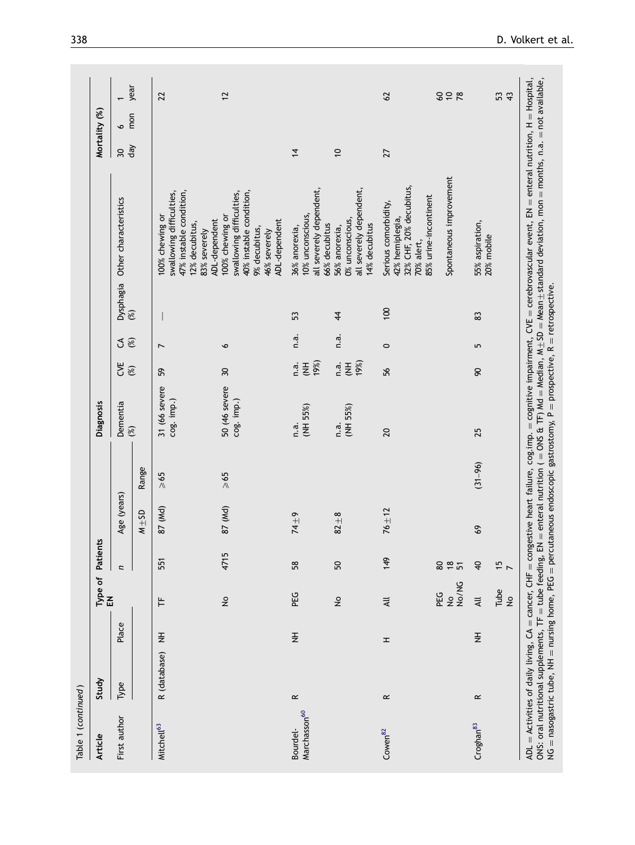| Table 1 (continued)                  |                                                          |                  |                                 |                                  |             |             |                                                                                                                          |                                |           |                |                                                                                                                                                                                                                                                                                                                                                                                                                                                                            |                      |                  |                                  |
|--------------------------------------|----------------------------------------------------------|------------------|---------------------------------|----------------------------------|-------------|-------------|--------------------------------------------------------------------------------------------------------------------------|--------------------------------|-----------|----------------|----------------------------------------------------------------------------------------------------------------------------------------------------------------------------------------------------------------------------------------------------------------------------------------------------------------------------------------------------------------------------------------------------------------------------------------------------------------------------|----------------------|------------------|----------------------------------|
| Article                              | Study                                                    |                  | 叾                               | Type of Patients                 |             |             | <b>Diagnosis</b>                                                                                                         |                                |           |                |                                                                                                                                                                                                                                                                                                                                                                                                                                                                            | Mortality (%)        |                  |                                  |
| First author                         | Type                                                     | Place            |                                 | U                                | Age (years) |             | Dementia<br>$(\%)$                                                                                                       | <b>SVE</b><br>(%)              | (%)<br>ჯ  | $(\%)$         | Dysphagia Other characteristics                                                                                                                                                                                                                                                                                                                                                                                                                                            | day<br>$\mathcal{S}$ | mon<br>$\bullet$ | year<br>$\overline{\phantom{0}}$ |
|                                      |                                                          |                  |                                 |                                  | $M \pm SD$  | Range       |                                                                                                                          |                                |           |                |                                                                                                                                                                                                                                                                                                                                                                                                                                                                            |                      |                  |                                  |
| Mitchell <sup>63</sup>               | R (database)                                             | $\frac{1}{2}$    | 片                               | 551                              | 87 (Md)     | 59<         | 31 (66 severe<br>cog. imp.)                                                                                              | S9                             | L         |                | swallowing difficulties,<br>47% instable condition,<br>100% chewing or<br>ADL-dependent<br>12% decubitus,<br>83% severely                                                                                                                                                                                                                                                                                                                                                  |                      |                  | 22                               |
|                                      |                                                          |                  | $\tilde{z}$                     | 4715                             | 87 (Md)     | 59 <        | 50 (46 severe<br>cog. imp.)                                                                                              | $\overline{30}$                | $\bullet$ |                | swallowing difficulties,<br>40% instable condition,<br>100% chewing or<br>ADL-dependent<br>9% decubitus,<br>46% severely                                                                                                                                                                                                                                                                                                                                                   |                      |                  | $\overline{c}$                   |
| Marchasson <sup>60</sup><br>Bourdel- | $\propto$                                                | $\overline{\Xi}$ | PEG                             | 58                               | 74 ± 9      |             | (NH 55%)<br>n.a.                                                                                                         | 19%)<br>n.a.<br>Ë              | n.a.      | 53             | all severely dependent,<br>10% unconscious,<br>66% decubitus<br>36% anorexia,                                                                                                                                                                                                                                                                                                                                                                                              | $\frac{4}{4}$        |                  |                                  |
|                                      |                                                          |                  | $\hat{\mathsf{z}}$              | 50                               | $82 + 8$    |             | (NH 55%)<br>n.a.                                                                                                         | 19%)<br>n.a.<br>$E_{\text{H}}$ | n.a.      | $\overline{4}$ | all severely dependent,<br>0% unconscious,<br>14% decubitus<br>56% anorexia,                                                                                                                                                                                                                                                                                                                                                                                               | $\overline{a}$       |                  |                                  |
| Cowen <sup>82</sup>                  | $\propto$                                                | H                | $\overline{4}$                  | 149                              | $76 + 12$   |             | 20                                                                                                                       | 56                             | $\circ$   | 100            | 32% CHF, 20% decubitus,<br>85% urine-incontinent<br>Serious comorbidity,<br>42% hemiplegia,<br>70% alert,                                                                                                                                                                                                                                                                                                                                                                  | 27                   |                  | 62                               |
|                                      |                                                          |                  | NO/NG<br>No/NG<br>PEG           | 885                              |             |             |                                                                                                                          |                                |           |                | Spontaneous improvement                                                                                                                                                                                                                                                                                                                                                                                                                                                    |                      |                  | $\mathsf{S}^0$<br>$10^{2}$       |
| Croghan <sup>83</sup>                | ≃                                                        | $\overline{\Xi}$ | Tube<br>$\tilde{z}$<br>$\equiv$ | $\overline{4}$<br>$\frac{15}{7}$ | \$9         | $(31 - 96)$ | 25                                                                                                                       | $\infty$                       | 5         | 83             | 55% aspiration,<br>20% mobile                                                                                                                                                                                                                                                                                                                                                                                                                                              |                      |                  | 53<br>$\overline{4}$             |
|                                      | ONS: oral nutritional supplements, TF = tube feeding, EN |                  |                                 |                                  |             |             | NG = nasogastric tube, NH = nursing home, PEG = percutaneous endoscopic gastrostomy, P = prospective, R = retrospective. |                                |           |                | $\Delta\text{DL} = \text{Activity}$ living, $\text{CA} = \text{cancel}, \text{CHF} = \text{congestive heart failure}, \text{cog}.\text{imp.} = \text{cognitive impairment}, \text{CVE} = \text{cerebroascular event}, \text{EN} = \text{enteration}, \text{H} = \text{Hospital}, \text{H} = \text{Coppital}, \text{H} = \text{Coppital}$<br>= enteral nutrition ( = ONS & TF) Md = Median, M $\pm$ SD = Mean $\pm$ standard deviation, mon = months, n.a. = not available, |                      |                  |                                  |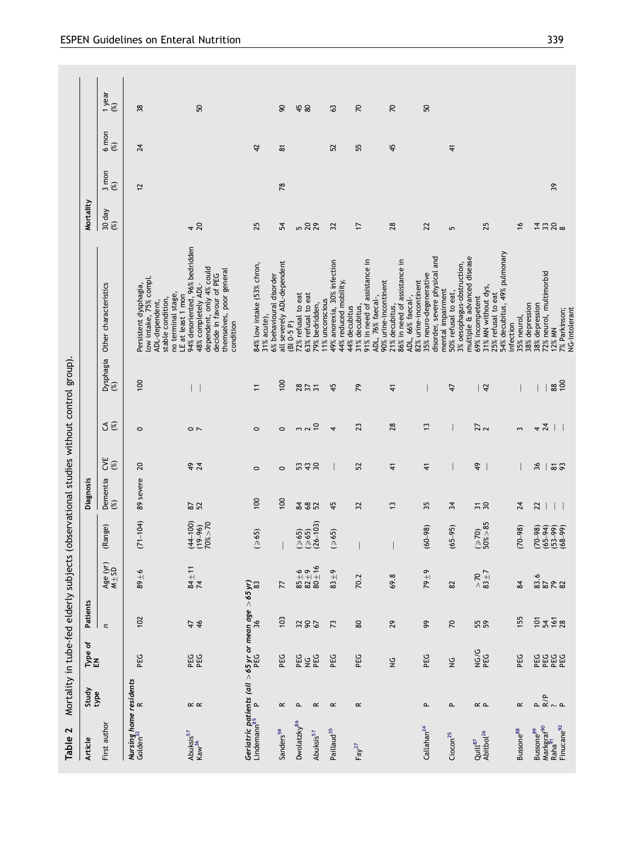<span id="page-9-0"></span>

| Study<br>type<br>Article                                                              | Type of<br>EN      | Patients                 |                                   |                                                  | Diagnosis       |                       |                |                  |                                                                                                                                                                            | Mortality            |                |                   |                         |
|---------------------------------------------------------------------------------------|--------------------|--------------------------|-----------------------------------|--------------------------------------------------|-----------------|-----------------------|----------------|------------------|----------------------------------------------------------------------------------------------------------------------------------------------------------------------------|----------------------|----------------|-------------------|-------------------------|
| First author                                                                          |                    | $\overline{\phantom{a}}$ | Age (yr)<br>$M \pm SD$            | (Range)                                          | Dementia<br>(%) | <b>CVE</b>            | 38             | Dysphagia<br>(%) | Other characteristics                                                                                                                                                      | $30 \text{ day}$ (%) | $3$ mon<br>(%) | $6$ mon<br>$(\%)$ | 1 year<br>$\mathcal{E}$ |
| Nursing home residents<br>Golden <sup>32</sup>                                        | PEG                | 102                      | $9 + 6$                           | $(71 - 104)$                                     | 89 severe       | $\overline{c}$        | $\circ$        | 100              | low intake, 75% compl.<br>Persistent dysphagia,<br>no terminal stage,<br>stable condition,<br>ADL-dependent,                                                               |                      | 12             | 24                | 38                      |
| $\propto \propto$<br>Abuksis <sup>57</sup><br>Kaw <sup>36</sup>                       | <b>PEG</b>         | 47                       | $\frac{84 \pm 11}{74}$            | $(44-100)$<br>$(19-96)$<br>$70% > 70$            | 87<br>52        | 49                    | $\sim$ $\sim$  |                  | 94% desoriented, 96% bedridden<br>dependent, only 4% could<br>themselves, poor general<br>decide in favour of PEG<br>48% completely ADL-<br>LE at least 1 mon<br>condition | 4R                   |                |                   | 50                      |
| Geriatric patients (all $>$ 65 yr or mean age $>$ 65 yr)<br>Lindemann <sup>85</sup> P |                    |                          |                                   | (265)                                            | 100             | $\circ$               | $\circ$        | $\overline{1}$   | 84% low intake (53% chron,<br>31% acute),                                                                                                                                  | 25                   |                | 42                |                         |
| $\propto$<br>Sanders <sup>59</sup>                                                    | PEG                | 103                      | 77                                | $\mathbb{L}$                                     | 100             | $\circ$               | $\circ$        | 100              | all severely ADL-dependent<br>6% behavioural disorder                                                                                                                      | 54                   | 78             | ౚ                 | $\mathsf{S}^0$          |
| $\simeq$<br>$\mathtt{a}$<br>Dwolatzky <sup>86</sup><br>Abuksis <sup>57</sup>          | <b>ARG</b><br>Reg  | 282                      | $85 + 6$<br>$82 + 9$<br>$80 + 16$ | $(26 - 103)$<br>$(265)$ $(28)$                   | <b>282</b>      | 538                   | 320            | 2877             | 63% refusal to eat<br>72% refusal to eat<br>79% bedridden,<br>$(BI 0-5 P)$                                                                                                 |                      |                |                   | 45                      |
| $\simeq$<br>Paillaud <sup>35</sup>                                                    | PEG                | $\overline{73}$          | $83 + 9$                          | (265)                                            | 45              |                       | 4              | $\overline{4}$   | 49% anorexia, 30% infection<br>44% reduced mobility,<br>11% unconscious                                                                                                    | $\overline{32}$      |                | 52                | ွ                       |
| $\simeq$<br>$\text{Fay}^{27}$                                                         | PEG                | $80\,$                   | 70.2                              | $\vert$                                          | 32              | 52                    | 23             | $\mathcal{R}$    | 31% decubitus,<br>91% in need of assistance in<br>ADL, 76% faecal-,<br>44% decubitus                                                                                       | 17                   |                | 55                | $\overline{70}$         |
|                                                                                       | $\tilde{z}$        | 29                       | 69.8                              | $\mid$                                           | $\tilde{1}$     | $\frac{4}{5}$         | 28             | 4                | 86% in need of assistance in<br>90% urine-incontinent<br>ADL, 66% faecal-,<br>21% decubitus,                                                                               | 28                   |                | 45                | $\overline{70}$         |
| $\mathtt{a}$<br>Callahan <sup>24</sup>                                                | PEG                | $\mathsf{g}$             | 79 <sup>±9</sup>                  | $(60 - 98)$                                      | 35              | $\frac{4}{5}$         | $\tilde{1}$    |                  | disorder, severe physical and<br>35% neuro-degenerative<br>82% urine-incontinent                                                                                           | $\overline{2}$       |                |                   | 50                      |
| $\mathtt{a}$<br>Ciccon <sup>25</sup>                                                  | $\frac{c}{2}$      | $\overline{70}$          | 82                                | $(65 - 95)$                                      | 34              |                       |                | A                | 3% oesophagus-obstruction,<br>mental impairment<br>50% refusal to eat                                                                                                      | 5                    |                | 4                 |                         |
| $\propto$ $\triangle$<br>Quill <sup>87</sup><br>Abitbol <sup>26</sup>                 | <b>NG/G</b><br>PEG | 55                       | $\frac{5}{9}$ $\frac{2}{1}$       | $(>70)$<br>50% > 85                              | $\frac{2}{3}$   | $\frac{1}{4}$         | $\frac{27}{2}$ | $\overline{r}$   | 54% decubitus, 49% pulmonary<br>multiple & advanced disease<br>31% MN without dys,<br>25% refusal to eat<br>69% incompetent                                                | 25                   |                |                   |                         |
| $\propto$<br>Bussone <sup>88</sup>                                                    | PEG                | 155                      | 84                                | $(70 - 98)$                                      | 24              |                       | $\sim$         |                  | 38% depression<br>35% neurol<br>infection                                                                                                                                  | $\frac{6}{5}$        |                |                   |                         |
| $\alpha \stackrel{\sim}{\approx} \sim \alpha$<br>Bussone <sup>89</sup>                | 8888<br>8888       | 5758                     | និង<br>និង                        | $(70-98)$<br>$(65-94)$<br>$(53-99)$<br>$(68-99)$ | 22              | 36                    | 471            | $\Box$           | 72% neurol, multimorbid<br>12% MN<br>38% depression                                                                                                                        | <b>1388</b>          |                |                   |                         |
| Markgraf <sup>90</sup><br>Raha <sup>91</sup><br>Finucane <sup>92</sup>                |                    |                          |                                   |                                                  |                 | $\overline{\omega}$ 3 |                | 88               |                                                                                                                                                                            |                      | 39             |                   |                         |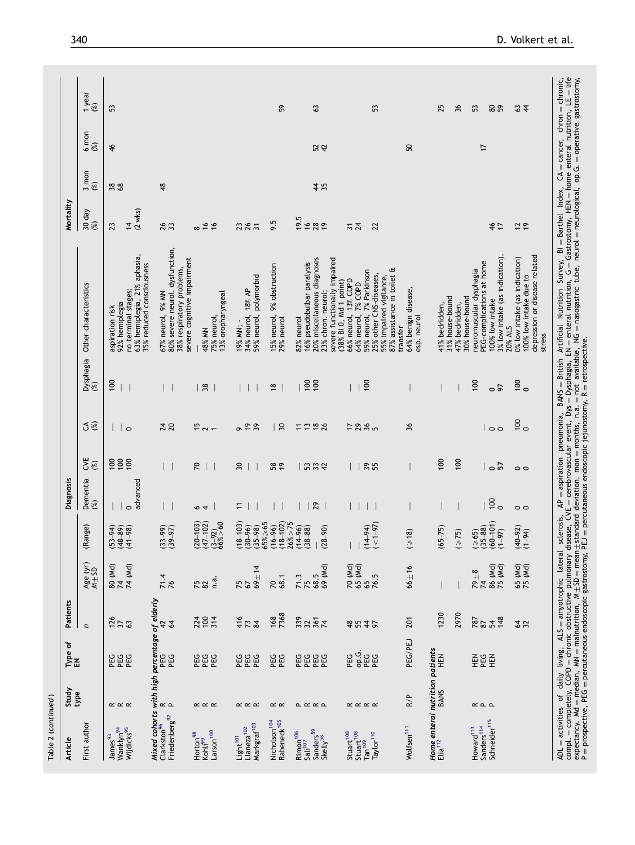|                                                                                              | Study<br>type                           | ৳<br>。<br>온모                                                                                  | Patients                    |                                                                |                                                                                                                                                                                                                                                                                              | Diagnosis           |                                           |                                  |                            |                                                                                                                                                                                               | Mortality                          |                 |                |               |
|----------------------------------------------------------------------------------------------|-----------------------------------------|-----------------------------------------------------------------------------------------------|-----------------------------|----------------------------------------------------------------|----------------------------------------------------------------------------------------------------------------------------------------------------------------------------------------------------------------------------------------------------------------------------------------------|---------------------|-------------------------------------------|----------------------------------|----------------------------|-----------------------------------------------------------------------------------------------------------------------------------------------------------------------------------------------|------------------------------------|-----------------|----------------|---------------|
| First author                                                                                 |                                         |                                                                                               | $\overline{\phantom{a}}$    | Age $(yr)$<br>$M \pm SD$                                       | (Range)                                                                                                                                                                                                                                                                                      | Dementia<br>$(\%)$  | <b>SAD</b><br>$(\%)$                      | (38)                             | Dysphagia<br>$\mathcal{E}$ | Other characteristics                                                                                                                                                                         | 30 day<br>$(\%)$                   | $3$ mon<br>(%)  | $6$ mon<br>(%) | 1 year<br>(%) |
| Wanklyn <sup>94</sup><br>Wijdicks <sup>95</sup><br>James <sup>93</sup>                       | $\propto \propto \propto$               | <b>2222</b>                                                                                   | $126$<br>$57$<br>$33$       | 80 (Md)<br>74<br>74 (Md)                                       | $-98$<br>$-94$<br>$\overline{39}$<br><b>535</b>                                                                                                                                                                                                                                              | advanced<br>$\circ$ | 688                                       | $\circ$                          | 100                        | 63% hemiplegia, 21% aphasia,<br>35% reduced consciousness<br>no terminal stages;<br>aspiration risk<br>92% hemiplegia                                                                         | $\frac{14}{(2 \text{ wks})}$<br>23 | 38              | $\frac{4}{5}$  | 53            |
| Friedenberg <sup>97</sup>                                                                    | $\propto \Delta$                        | Mixed cohorts with high percentage of elderly<br>Clarkston $\stackrel{\text{66}}{ }$ R<br>PEG | 64                          | 71.4<br>76                                                     | $-99$<br>$(65 - 97)$<br>$\mathfrak{B}$                                                                                                                                                                                                                                                       |                     |                                           | 24                               |                            | 80% severe neurol. dysfunction,<br>severe cognitive impairment<br>38% respiratory problems,<br>67% neurol, 9% MN                                                                              | 26                                 | $\frac{8}{4}$   |                |               |
| Larson <sup>100</sup><br>Horton <sup>98</sup><br>Kohli <sup>99</sup>                         | $\alpha \propto \alpha$                 | <b>2222</b>                                                                                   | 224<br>100<br>314           | n.a.<br>75<br>82                                               | $(20-103)$<br>$(47-102)$<br>$(3-92)$<br>$66% > 60$                                                                                                                                                                                                                                           | $\bullet$ $\star$   | $\mathcal{L}$<br>$\overline{\phantom{a}}$ | $\frac{15}{2}$                   | ඝ                          | 13% oropharyngeal<br>75% neurol,<br>48% MN                                                                                                                                                    | $\approx$ $\approx$<br>$\approx$   |                 |                |               |
| Markgraf <sup>103</sup><br>Llaneza <sup>102</sup><br>Light <sup>101</sup>                    | $\propto \propto \propto$               | <b>2222</b>                                                                                   | $\frac{4}{3}$ $\frac{1}{2}$ | $69 + 14$<br>75<br>67                                          | $\begin{array}{l} (18-103)\\ (30-96)\\ (35-98)\\ (35-96)\\ (45-96)\\ (16-96)\\ (16-72)\\ (16-72)\\ (16-72)\\ (16-72)\\ (16-72)\\ (16-72)\\ (16-72)\\ (16-72)\\ (16-72)\\ (16-72)\\ (16-72)\\ (16-72)\\ (16-72)\\ (16-72)\\ (16-72)\\ (16-72)\\ (16-72)\\ (16-72)\\ (16-72)\\ (16-72)\\ (16-$ | $\ddot{ }$          | 50                                        | $\frac{6}{9}$<br>$\overline{39}$ |                            | 59% neurol, polymorbid<br>34% neurol, 18% AP<br>$\mathbf{r}$<br>19% MN;                                                                                                                       | 285                                |                 |                |               |
| Rabeneck <sup>105</sup><br>Nicholson <sup>104</sup>                                          | $\propto \propto$                       | <b>PEG</b>                                                                                    | 168<br>7368                 | 68.1<br>20                                                     |                                                                                                                                                                                                                                                                                              |                     | 38                                        | 50                               | $\frac{8}{2}$              | 15% neurol, 9% obstruction<br>29% neurol                                                                                                                                                      | 9.5                                |                 |                | 59            |
| Sanders <sup>59</sup><br>Skelly <sup>58</sup><br>Rimon <sup>106</sup><br>Sali <sup>107</sup> | $\Delta \propto \propto \Delta$         | <b>22222</b>                                                                                  | 33354                       | 75<br>68.5<br>69 (Md)<br>71.3                                  | $(06-1)$<br>$\overline{c}$                                                                                                                                                                                                                                                                   | 29                  | 5334                                      | 788<br>$\overline{1}$            | $rac{100}{200}$            | miscellaneous diagnoses<br>severe functionally impaired<br>pseudobulbar paralysis<br>23% chron. neurol;<br>82% neurol<br>16%<br>20%                                                           | 19.5<br>188                        | $4\,\mathrm{g}$ | 524            | 3             |
| Stuart <sup>108</sup><br>$\frac{Stuart^{108}}{Tan^{109}}$<br>Taylor <sup>110</sup>           | $\propto$ $\propto$ $\propto$ $\propto$ | ូ ថ្ម<br>ដូ ទូដ ដូ                                                                            | <b>\$242</b>                | 70 (Md)<br>65 (Md)<br>65<br>76.5                               | $(14-94)$<br>(<1-97)                                                                                                                                                                                                                                                                         |                     | $ $ $ $ $\Re$ $\Re$                       | けのもち                             | 100                        | Œ<br>59% neurol, 7% Parkinson<br>25% other CNS-diseases,<br>87% assistance in toilet<br>impaired vigilance<br>(38% Bl 0, Md 1 point)<br>66% neurol, 13% COPD<br>neurol, 7% COPD<br>64%<br>55% | $\frac{5}{4}$<br>$\mathfrak{a}$    |                 |                | 53            |
| Wolfsen <sup>111</sup>                                                                       | R/P                                     | PEG/PEJ                                                                                       | 201                         | $66 + 16$                                                      | (8)<br>$\overline{\mathbb{Q}}$                                                                                                                                                                                                                                                               |                     |                                           | 36                               |                            | 64% benign disease,<br>esp. neurol<br>transfer                                                                                                                                                |                                    |                 | 50             |               |
|                                                                                              |                                         | $\widetilde{\Xi}$                                                                             | 1230<br>2970                |                                                                | $5 - 75$<br>75)<br>65<br>$\overline{\mathbb{V}}$                                                                                                                                                                                                                                             |                     | 100<br>100                                |                                  |                            | 31% house-bound<br>bedridden,<br>41% bedridden,<br>47%                                                                                                                                        |                                    |                 |                | 25<br>36      |
| Schneider <sup>115</sup><br>Sanders <sup>114</sup><br>Howard <sup>113</sup>                  | $\alpha$ $\alpha$ $\alpha$              | 즢없<br>포                                                                                       | 148<br>$587$<br>$587$       | 86 (Md)<br>75 (Md)<br>$\mathbf{8} \mp \mathbf{64}$<br>ं र<br>7 | $-101$<br>$-88$<br>$(26 -$<br>65)<br>9827                                                                                                                                                                                                                                                    | 100<br>$\circ$      | $\frac{5}{2}$                             | $\circ$                          | 100<br>$\frac{2}{9}$       | 3% low intake (as indication),<br>PEG-complications at home<br>neuromuscular dysphagia<br>30% house-bound<br>100% low intake<br>20% ALS                                                       | $\frac{4}{7}$                      |                 | $\overline{1}$ | 80<br>53      |
|                                                                                              |                                         |                                                                                               | 32                          | 65 (Md)<br>75 (Md)                                             | $(40-92)$<br>$(1-94)$                                                                                                                                                                                                                                                                        | $\circ$             | $\circ$                                   | 100<br>$\circ$                   | $\overline{5}$<br>$\circ$  | depression or disease related<br>0% low intake (as indication)<br>100% low intake due to<br>stress                                                                                            | 29                                 |                 |                | 34            |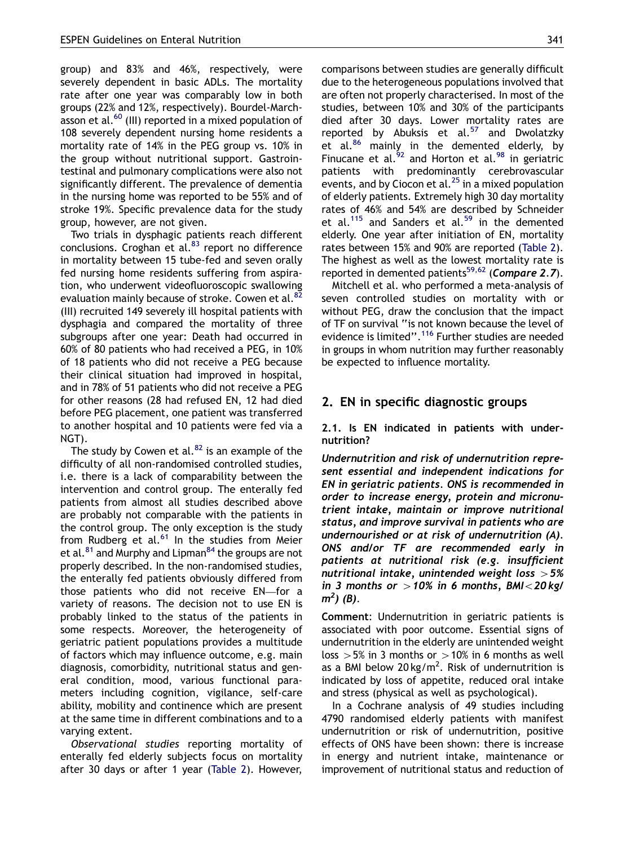group) and 83% and 46%, respectively, were severely dependent in basic ADLs. The mortality rate after one year was comparably low in both groups (22% and 12%, respectively). Bourdel-Marchasson et al. $^{60}$  $^{60}$  $^{60}$  (III) reported in a mixed population of 108 severely dependent nursing home residents a mortality rate of 14% in the PEG group vs. 10% in the group without nutritional support. Gastrointestinal and pulmonary complications were also not significantly different. The prevalence of dementia in the nursing home was reported to be 55% and of stroke 19%. Specific prevalence data for the study group, however, are not given.

Two trials in dysphagic patients reach different conclusions. Croghan et al. $83$  report no difference in mortality between 15 tube-fed and seven orally fed nursing home residents suffering from aspiration, who underwent videofluoroscopic swallowing evaluation mainly because of stroke. Cowen et al.<sup>[82](#page-28-0)</sup> (III) recruited 149 severely ill hospital patients with dysphagia and compared the mortality of three subgroups after one year: Death had occurred in 60% of 80 patients who had received a PEG, in 10% of 18 patients who did not receive a PEG because their clinical situation had improved in hospital, and in 78% of 51 patients who did not receive a PEG for other reasons (28 had refused EN, 12 had died before PEG placement, one patient was transferred to another hospital and 10 patients were fed via a NGT).

The study by Cowen et al. $82$  is an example of the difficulty of all non-randomised controlled studies, i.e. there is a lack of comparability between the intervention and control group. The enterally fed patients from almost all studies described above are probably not comparable with the patients in the control group. The only exception is the study from Rudberg et al. $^{61}$  $^{61}$  $^{61}$  In the studies from Meier et al. $81$  and Murphy and Lipman<sup>[84](#page-28-0)</sup> the groups are not properly described. In the non-randomised studies, the enterally fed patients obviously differed from those patients who did not receive EN—for a variety of reasons. The decision not to use EN is probably linked to the status of the patients in some respects. Moreover, the heterogeneity of geriatric patient populations provides a multitude of factors which may influence outcome, e.g. main diagnosis, comorbidity, nutritional status and general condition, mood, various functional parameters including cognition, vigilance, self-care ability, mobility and continence which are present at the same time in different combinations and to a varying extent.

Observational studies reporting mortality of enterally fed elderly subjects focus on mortality after 30 days or after 1 year [\(Table 2](#page-9-0)). However, comparisons between studies are generally difficult due to the heterogeneous populations involved that are often not properly characterised. In most of the studies, between 10% and 30% of the participants died after 30 days. Lower mortality rates are reported by Abuksis et  $al.^{57}$  $al.^{57}$  $al.^{57}$  and Dwolatzky et al.<sup>[86](#page-28-0)</sup> mainly in the demented elderly, by Finucane et al. $^{92}$  $^{92}$  $^{92}$  and Horton et al.<sup>[98](#page-28-0)</sup> in geriatric patients with predominantly cerebrovascular events, and by Ciocon et al. $^{25}$  $^{25}$  $^{25}$  in a mixed population of elderly patients. Extremely high 30 day mortality rates of 46% and 54% are described by Schneider et al.<sup>[115](#page-28-0)</sup> and Sanders et al.<sup>[59](#page-27-0)</sup> in the demented elderly. One year after initiation of EN, mortality rates between 15% and 90% are reported ([Table 2\)](#page-9-0). The highest as well as the lowest mortality rate is reported in demented patients<sup>[59,62](#page-27-0)</sup> (Compare 2.7).

Mitchell et al. who performed a meta-analysis of seven controlled studies on mortality with or without PEG, draw the conclusion that the impact of TF on survival ''is not known because the level of evidence is limited".<sup>[116](#page-28-0)</sup> Further studies are needed in groups in whom nutrition may further reasonably be expected to influence mortality.

#### 2. EN in specific diagnostic groups

2.1. Is EN indicated in patients with undernutrition?

Undernutrition and risk of undernutrition represent essential and independent indications for EN in geriatric patients. ONS is recommended in order to increase energy, protein and micronutrient intake, maintain or improve nutritional status, and improve survival in patients who are undernourished or at risk of undernutrition (A). ONS and/or TF are recommended early in patients at nutritional risk (e.g. insufficient nutritional intake, unintended weight loss  $>5%$ in 3 months or  $>10\%$  in 6 months, BMI $<$ 20 kg/  $m<sup>2</sup>$ ) (B).

Comment: Undernutrition in geriatric patients is associated with poor outcome. Essential signs of undernutrition in the elderly are unintended weight  $loss > 5%$  in 3 months or  $> 10%$  in 6 months as well as a BMI below  $20 \text{ kg/m}^2$ . Risk of undernutrition is indicated by loss of appetite, reduced oral intake and stress (physical as well as psychological).

In a Cochrane analysis of 49 studies including 4790 randomised elderly patients with manifest undernutrition or risk of undernutrition, positive effects of ONS have been shown: there is increase in energy and nutrient intake, maintenance or improvement of nutritional status and reduction of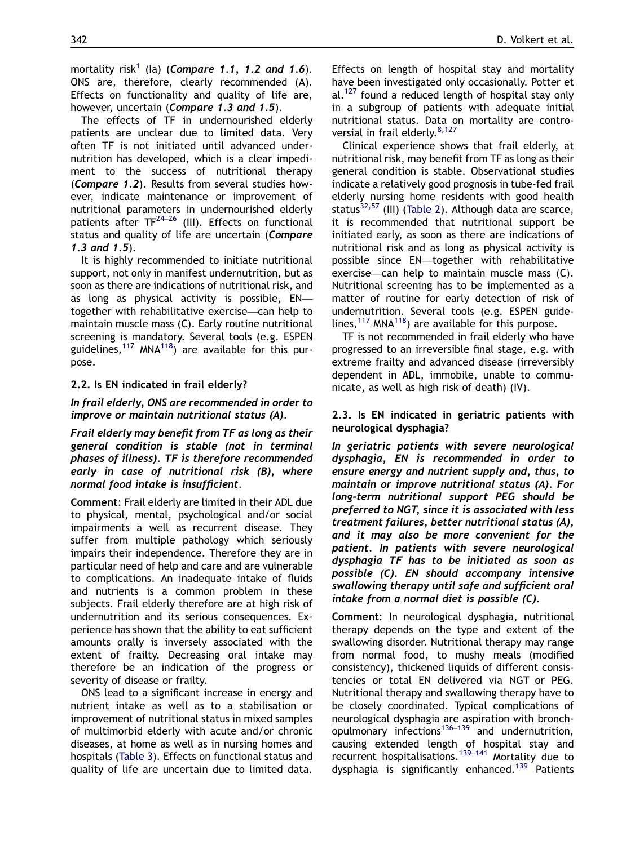mortality risk<sup>[1](#page-25-0)</sup> (Ia) (Compare 1.1, 1.2 and 1.6). ONS are, therefore, clearly recommended (A). Effects on functionality and quality of life are, however, uncertain (Compare 1.3 and 1.5).

The effects of TF in undernourished elderly patients are unclear due to limited data. Very often TF is not initiated until advanced undernutrition has developed, which is a clear impediment to the success of nutritional therapy (Compare 1.2). Results from several studies however, indicate maintenance or improvement of nutritional parameters in undernourished elderly patients after  $TF^{24-26}$  $TF^{24-26}$  $TF^{24-26}$  (III). Effects on functional status and quality of life are uncertain (Compare 1.3 and 1.5).

It is highly recommended to initiate nutritional support, not only in manifest undernutrition, but as soon as there are indications of nutritional risk, and as long as physical activity is possible, EN together with rehabilitative exercise—can help to maintain muscle mass (C). Early routine nutritional screening is mandatory. Several tools (e.g. ESPEN guidelines,  $117$  MNA $118$ ) are available for this purpose.

#### 2.2. Is EN indicated in frail elderly?

#### In frail elderly, ONS are recommended in order to improve or maintain nutritional status (A).

Frail elderly may benefit from TF as long as their general condition is stable (not in terminal phases of illness). TF is therefore recommended early in case of nutritional risk (B), where normal food intake is insufficient.

Comment: Frail elderly are limited in their ADL due to physical, mental, psychological and/or social impairments a well as recurrent disease. They suffer from multiple pathology which seriously impairs their independence. Therefore they are in particular need of help and care and are vulnerable to complications. An inadequate intake of fluids and nutrients is a common problem in these subjects. Frail elderly therefore are at high risk of undernutrition and its serious consequences. Experience has shown that the ability to eat sufficient amounts orally is inversely associated with the extent of frailty. Decreasing oral intake may therefore be an indication of the progress or severity of disease or frailty.

ONS lead to a significant increase in energy and nutrient intake as well as to a stabilisation or improvement of nutritional status in mixed samples of multimorbid elderly with acute and/or chronic diseases, at home as well as in nursing homes and hospitals ([Table 3](#page-13-0)). Effects on functional status and quality of life are uncertain due to limited data.

Effects on length of hospital stay and mortality have been investigated only occasionally. Potter et al.<sup>[127](#page-29-0)</sup> found a reduced length of hospital stay only in a subgroup of patients with adequate initial nutritional status. Data on mortality are contro-versial in frail elderly.<sup>[8,127](#page-26-0)</sup>

Clinical experience shows that frail elderly, at nutritional risk, may benefit from TF as long as their general condition is stable. Observational studies indicate a relatively good prognosis in tube-fed frail elderly nursing home residents with good health status $^{32,57}$  $^{32,57}$  $^{32,57}$  (III) [\(Table 2](#page-9-0)). Although data are scarce, it is recommended that nutritional support be initiated early, as soon as there are indications of nutritional risk and as long as physical activity is possible since EN—together with rehabilitative exercise—can help to maintain muscle mass (C). Nutritional screening has to be implemented as a matter of routine for early detection of risk of undernutrition. Several tools (e.g. ESPEN guidelines,  $117$  MNA $118$ ) are available for this purpose.

TF is not recommended in frail elderly who have progressed to an irreversible final stage, e.g. with extreme frailty and advanced disease (irreversibly dependent in ADL, immobile, unable to communicate, as well as high risk of death) (IV).

#### 2.3. Is EN indicated in geriatric patients with neurological dysphagia?

In geriatric patients with severe neurological dysphagia, EN is recommended in order to ensure energy and nutrient supply and, thus, to maintain or improve nutritional status (A). For long-term nutritional support PEG should be preferred to NGT, since it is associated with less treatment failures, better nutritional status (A), and it may also be more convenient for the patient. In patients with severe neurological dysphagia TF has to be initiated as soon as possible (C). EN should accompany intensive swallowing therapy until safe and sufficient oral intake from a normal diet is possible (C).

Comment: In neurological dysphagia, nutritional therapy depends on the type and extent of the swallowing disorder. Nutritional therapy may range from normal food, to mushy meals (modified consistency), thickened liquids of different consistencies or total EN delivered via NGT or PEG. Nutritional therapy and swallowing therapy have to be closely coordinated. Typical complications of neurological dysphagia are aspiration with bronchopulmonary infections $136-139$  $136-139$  and undernutrition, causing extended length of hospital stay and recurrent hospitalisations.139–[141](#page-29-0) Mortality due to dysphagia is significantly enhanced.<sup>[139](#page-29-0)</sup> Patients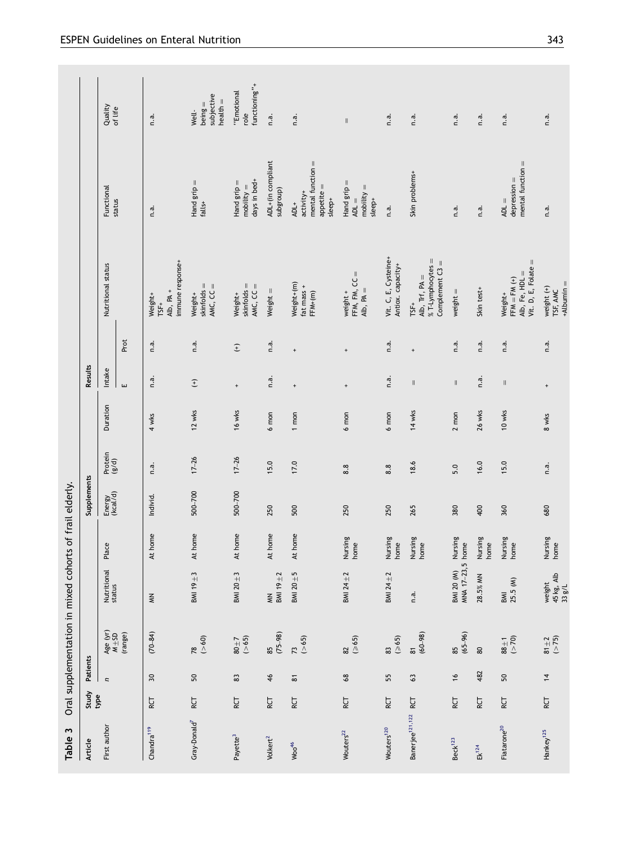<span id="page-13-0"></span>

| S<br><b>Table</b>           |               |                          | Oral supplementation in mixed cohorts of frail elderly. |                                |                 |                    |                  |                  |                     |               |                                                                      |                                                                    |                                                |
|-----------------------------|---------------|--------------------------|---------------------------------------------------------|--------------------------------|-----------------|--------------------|------------------|------------------|---------------------|---------------|----------------------------------------------------------------------|--------------------------------------------------------------------|------------------------------------------------|
| <b>Article</b>              | Study<br>type | Patients                 |                                                         |                                |                 | Supplements        |                  |                  | Results             |               |                                                                      |                                                                    |                                                |
| First author                |               | $\overline{\phantom{a}}$ |                                                         | Nutritional<br>status          | Place           | Energy<br>(kcal/d) | Protein<br>(g/d) | Duration         | Intake              |               | Nutritional status                                                   | Functional                                                         | Quality<br>of life                             |
|                             |               |                          | Age $(yr)$<br>$M \pm SD$<br>$(range)$                   |                                |                 |                    |                  |                  | ш                   | Prot          |                                                                      | status                                                             |                                                |
| Chandra <sup>119</sup>      | RCT           | 50                       | $(70 - 84)$                                             | $\lessgtr$                     | At home         | Individ.           | n.a.             | 4 wks            | n.a.                | n.a.          | immune response+<br>Alb, $PA +$<br>Weight+<br>TSF+                   | n.a.                                                               | n.a.                                           |
| Gray-Donald <sup>7</sup>    | RCT           | 50                       | $78$<br>(>60)                                           | BMI 19 ± 3                     | At home         | 500-700            | $17 - 26$        | $12 \text{ wks}$ | $\widehat{+}$       | n.a.          | $skinfolds =$<br>AMC, $CC =$<br>Weight+                              | Hand grip =<br>falls+                                              | subjective<br>$health =$<br>$being =$<br>Well- |
| Payette <sup>3</sup>        | RCT           | 83                       | $80 + 7$<br>( $>65$ )                                   | BMI 20 ± 3                     | At home         | 500-700            | $17 - 26$        | 16 wks           | $\ddot{}$           | $\widehat{+}$ | $skinfolds =$<br>AMC, $CC =$<br>Weight+                              | days in bed+<br>$=$ qing pue-<br>$m$ obility =                     | functioning"+<br>"Emotional<br>role            |
| Volkert <sup>2</sup>        | RCT           | $\frac{4}{6}$            | 85<br>(75–98)                                           | MN<br>$30M$<br>$19 + 2$        | At home         | 250                | 15.0             | $6$ mon          | n.a.                | n.a.          | Weight =                                                             | ADL+(in compliant<br>(dnougqns                                     | n.a.                                           |
| Woo <sup>46</sup>           | RCT           | $\overline{8}$           | $73$<br>( $>65$ )                                       | BMI 20 ±5                      | At home         | 500                | 17.0             | $1$ mon          | $\ddot{}$           | $\pmb{+}$     | Weight+(m)<br>fat mass +<br>$FFM+(m)$                                | $mental function =$<br>appetite =<br>activity+<br>$sleep+$<br>ADL+ | n.a.                                           |
| Wouters <sup>22</sup>       | RCT           | $68$                     | $82$<br>( $\geq 65$ )                                   | BMI 24 ±2                      | Nursing<br>home | 250                | 8.8              | $6$ mon          | $\ddot{}$           | $\ddot{}$     | $FFM, FM, CC =$<br>Alb, $PA =$<br>weight +                           | Hand $grip =$<br>$m$ obility =<br>$s$ leep+<br>$ADL =$             | $\label{eq:1} \quad \text{  }$                 |
| Wouters <sup>120</sup>      | RCT           | 55                       | (29<)<br>$\mathbf{S}^2$                                 | BMI 24 ± 2                     | Nursing<br>home | 250                | 8.8              | $6$ mon          | n.a.                | n.a.          | Vit. C, E, Cysteine+<br>Antiox. capacity+                            | n.a.                                                               | n.a.                                           |
| Banerjee <sup>121,122</sup> | RCT           | $\mathbb{S}^3$           | $(60 - 98)$<br>$\overline{\bf 8}$                       | n.a.                           | Nursing<br>home | 265                | 18.6             | $14$ wks         | $\,$ $\,$ $\,$      | $\ddot{}$     | % T-Lymphocytes $=$<br>Complement $C3 =$<br>Alb, Trf, $PA =$<br>TSF+ | Skin problems+                                                     | n.a.                                           |
| Beck <sup>123</sup>         | RCT           | $\frac{6}{5}$            | 85<br>(65–96)                                           | MNA 17-23,5 home<br>BMI 20 (M) | Nursing         | 380                | 5.0              | $2$ mon          | $\,$ $\,$ $\,$ $\,$ | n.a.          | $weight =$                                                           | n.a.                                                               | n.a.                                           |
| $EK^{124}$                  | RCT           | 482                      | 80                                                      | 28.5% MN                       | Nursing<br>home | 400                | 16.0             | 26 wks           | n.a.                | n.a.          | Skin test+                                                           | n.a.                                                               | n.a.                                           |
| Fiatarone <sup>20</sup>     | RCT           | 50                       | $1 + 88$<br>( $5 - 70$ )                                | BMI<br>25.5 (M)                | Nursing<br>home | 360                | 15.0             | 10 wks           | $\lvert \rvert$     | n.a.          | Alb, Fe, $HDL =$<br>Vit. D, E, Folate =<br>$FFM = FM (+)$<br>Weight+ | $mental function =$<br>depression =<br>$ADL =$                     | n.a.                                           |
| Hankey <sup>125</sup>       | RCT           | $\overline{4}$           | $\begin{array}{c} 81 \pm 2 \\ (\geq 75) \end{array}$    | 45 kg, Alb<br>33 g/L<br>weight | Nursing<br>home | 680                | n.a.             | 8 wks            | $\ddot{}$           | n.a.          | $+$ Albumin $=$<br>weight $(+)$<br>TSF, AMC                          | n.a.                                                               | n.a.                                           |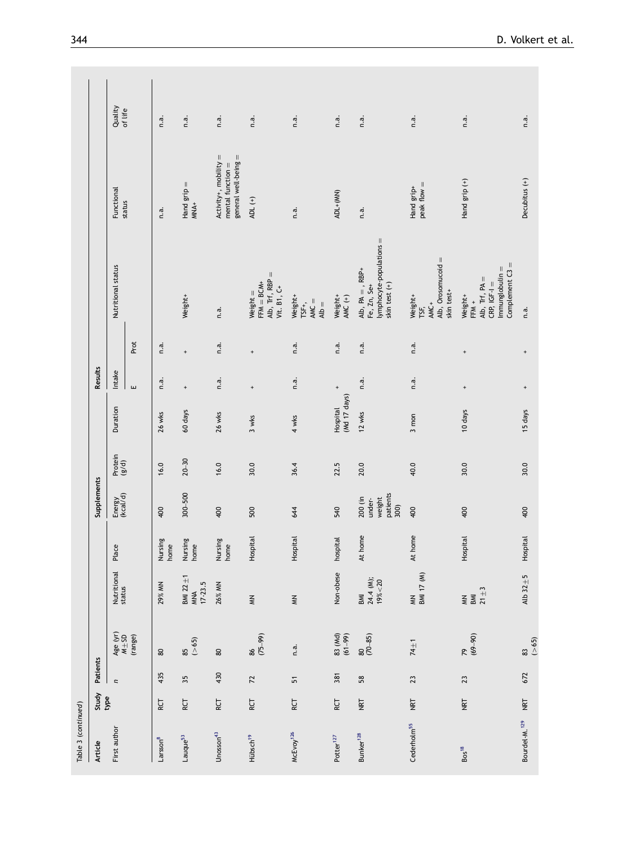| Table 3 (continued)       |               |          |                        |                                             |                 |                                                |                  |                          |                 |           |                                                                                               |                                                                      |                    |
|---------------------------|---------------|----------|------------------------|---------------------------------------------|-----------------|------------------------------------------------|------------------|--------------------------|-----------------|-----------|-----------------------------------------------------------------------------------------------|----------------------------------------------------------------------|--------------------|
| Article                   | Study<br>type | Patients |                        |                                             |                 | Supplements                                    |                  |                          | Results         |           |                                                                                               |                                                                      |                    |
| First author              |               | n        | Age (yr)<br>$M \pm SD$ | Nutritional<br>status                       | Place           | Energy<br>(kcal/d)                             | Protein<br>(g/d) | Duration                 | Intake          |           | Nutritional status                                                                            | Functional<br>status                                                 | Quality<br>of life |
|                           |               |          | (range)                |                                             |                 |                                                |                  |                          | ш               | Prot      |                                                                                               |                                                                      |                    |
| Larson <sup>8</sup>       | RCT           | 435      | $\pmb{\mathbb{S}}$     | 29% MN                                      | Nursing<br>home | 400                                            | 16.0             | 26 wks                   | n.a.            | n.a.      |                                                                                               | n.a.                                                                 | n.a.               |
| Lauque <sup>53</sup>      | RCT           | 35       | $85$<br>(>65)          | $\frac{BM}{22 \pm 1}$<br>MNA<br>$17 - 23.5$ | Nursing<br>home | $300 - 500$                                    | $20 - 30$        | 60 days                  | $\pm$           | $\ddot{}$ | Weight+                                                                                       | Hand grip =<br>MNA+                                                  | n.a.               |
| Unosson <sup>43</sup>     | RCT           | 430      | $\pmb{\otimes}$        | 26% MN                                      | Nursing<br>home | 400                                            | 16.0             | 26 wks                   | $n \cdot a$     | n.a.      | n.a.                                                                                          | Activity+, mobility =<br>general well-being =<br>$mental function =$ | n.a.               |
| Hübsch <sup>19</sup>      | RCT           | 72       | 86<br>(75–99)          | $\lessgtr$                                  | Hospital        | 500                                            | 30.0             | 3 wks                    | $\ddot{}$       | $\pmb{+}$ | Alb, Trf, $RBP =$<br>$FFM = BCM+$<br>Vit. B1, C+<br>$Weight =$                                | ADL (+)                                                              | n.a.               |
| McEvoy <sup>126</sup>     | RCT           | 51       | n.a.                   | $\sum_{i=1}^{n}$                            | Hospital        | 644                                            | 36.4             | 4 wks                    | n.a.            | n.a.      | Weight+<br>$AMC =$<br>$TSF+$ ,<br>$\mathsf{Alb} =$                                            | n.a.                                                                 | n.a.               |
| Potter $127$              | RCT           | 381      | 83 (Md)<br>(61–99)     | Non-obese                                   | hospital        | 540                                            | 22.5             | (Md 17 days)<br>Hospital | $\ddot{}$       | n.a.      | Weight+<br>AMC (+)                                                                            | ADL+(MN)                                                             | n.a.               |
| $B$ unker $128$           | NRT           | $58\,$   | $\frac{80}{(70-85)}$   | BMI<br>24.4 (M);<br>19% < 20                | At home         | patients<br>weight<br>200 (in<br>under-<br>300 | 20.0             | $12$ wks                 | n.a.            | n.a.      | lymphocyte-populations =<br>Alb, $PA =$ , $RBP+Fe$ , $Zn$ , $Se+$<br>skin test (+)            | n.a.                                                                 | n.a.               |
| Cederholm <sup>55</sup>   | <b>NRT</b>    | 23       | $74 \pm 1$             | MN<br>BMI 17 (M)                            | At home         | 400                                            | 40.0             | $3$ mon                  | n.a.            | n.a.      | Alb, Orosomucoid =<br>skin test+<br>Weight+<br>AMC+<br>TSF,                                   | peak flow $=$<br>Hand grip+                                          | n.a.               |
| $805^{18}$                | NRT           | 23       | 79<br>(69-90)          | $\frac{1}{2}$ $\frac{1}{2}$ $\frac{1}{2}$   | Hospital        | 400                                            | 30.0             | 10 days                  | $\ddot{}$       | $\ddot{}$ | Complement $C3 =$<br>mmunglobulin =<br>Alb, Trf, $PA =$<br>$CRP, IGF-I =$<br>Weight+<br>FFM + | Hand grip (+)                                                        | n.a.               |
| Bourdel-M. <sup>129</sup> | <b>Tah</b>    | 672      | $(3)$<br>( $>65$ )     | Alb $32 + 5$                                | Hospital        | 400                                            | 30.0             | 15 days                  | $^{\mathrm{+}}$ | $\ddot{}$ | n.a.                                                                                          | Decubitus (+)                                                        | n.a.               |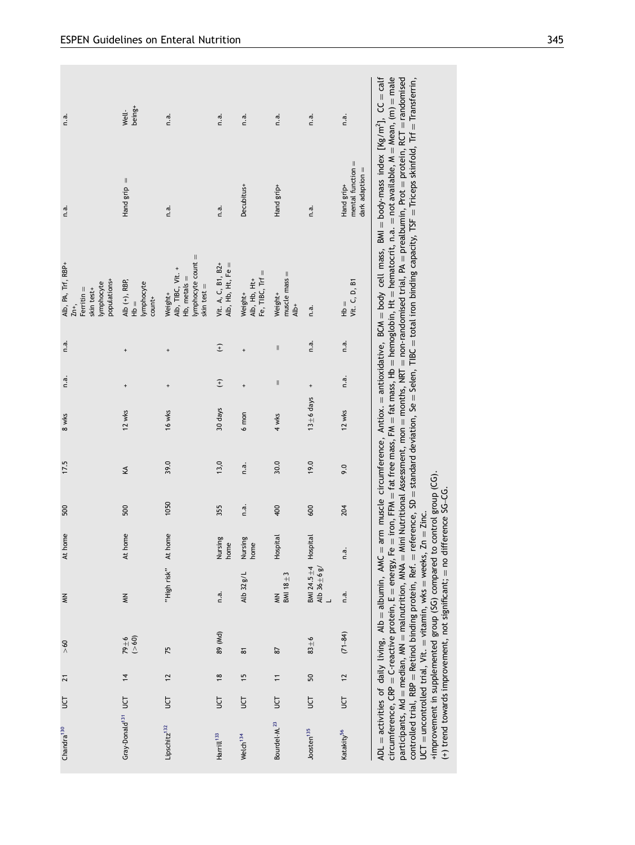| n.a.                                                                                      | being+<br>Well-                                                           | n.a.                                                                                     | n.a.                                    | n.a.                                          | n.a.                                         | n.a.                                 | n.a.                                                 |                                                                                                                                                                                                                                                                                                                                                                                                                                                                                                                                                                                                                             |
|-------------------------------------------------------------------------------------------|---------------------------------------------------------------------------|------------------------------------------------------------------------------------------|-----------------------------------------|-----------------------------------------------|----------------------------------------------|--------------------------------------|------------------------------------------------------|-----------------------------------------------------------------------------------------------------------------------------------------------------------------------------------------------------------------------------------------------------------------------------------------------------------------------------------------------------------------------------------------------------------------------------------------------------------------------------------------------------------------------------------------------------------------------------------------------------------------------------|
| n.a.                                                                                      | $\label{eq:1} \prod_{i=1}^n \alpha_i \prod_{i=1}^n \alpha_i$<br>Hand grip | n.a.                                                                                     | n.a.                                    | Decubitus+                                    | Hand grip+                                   | n.a.                                 | $mental function =$<br>dark adaption =<br>Hand grip+ |                                                                                                                                                                                                                                                                                                                                                                                                                                                                                                                                                                                                                             |
| Alb, PA, Trf, RBP+<br>populations+<br>ymphocyte<br>skin test+<br>$=$ erritin $=$<br>$2n+$ | Alb (+), RBP,<br>lymphocyte<br>count+<br>$\frac{1}{2}$                    | lymphocyte count =<br>Alb, TIBC, Vit. +<br>$Hb$ , metals $=$<br>skin test $=$<br>Weight+ | Vit. A, C, B1, B2+<br>Alb, Hb, Ht, Fe = | Fe, $TBC$ , $Tf =$<br>Alb, Hb, Ht+<br>Weight+ | $muscle mass =$<br>Weight+<br>$\overline{4}$ | n.a.                                 | Vit. C, D, B1<br>$\frac{1}{2}$                       | = iron, FFM = fat free mass, FM = fat mass, Hb = hemoglobin, Ht = hematocrit, n.a. = not available, M = Mean, (m) = male<br>arm muscle circumference, Antiox. = antioxidative, BCM = body cell mass, BMI = body-mass index $[Kg/m^2]$ , CC = calf<br>participants, Md = median, MN = malnutrition, MNA = Mini Nutritional Assessment, mon = months, NRT = non-randomised trial, PA = prealbumin, Prot = protein, RCT = randomised<br>controlled trial, RBP = Retinol binding protein, Ref. = reference, SD = standard deviation, Se = Selen, TIBC = total iron binding capacity, TSF = Triceps skinfold, Trf = Transferrin, |
| n.a.                                                                                      |                                                                           | $\ddot{}$                                                                                | $\widehat{+}$                           | $\ddot{}$                                     | $\label{eq:1} \ $                            | n.a                                  | n.a.                                                 |                                                                                                                                                                                                                                                                                                                                                                                                                                                                                                                                                                                                                             |
| n.a.                                                                                      | $\ddot{}$                                                                 | $\ddot{}$                                                                                | $\mathbf{f}$                            | $\ddot{}$                                     | $\parallel$                                  | $\ddot{}$                            | n.a.                                                 |                                                                                                                                                                                                                                                                                                                                                                                                                                                                                                                                                                                                                             |
| 8 wks                                                                                     | $12$ wks                                                                  | 16 wks                                                                                   | 30 days                                 | $6$ mon                                       | 4 wks                                        | $13 \pm 6$ days                      | $12$ wks                                             |                                                                                                                                                                                                                                                                                                                                                                                                                                                                                                                                                                                                                             |
| 17.5                                                                                      | КД                                                                        | 39.0                                                                                     | 13,0                                    | n.a.                                          | 30.0                                         | 19.0                                 | 0.6                                                  |                                                                                                                                                                                                                                                                                                                                                                                                                                                                                                                                                                                                                             |
| 500                                                                                       | 500                                                                       | 1050                                                                                     | 355                                     | n.a.                                          | 400                                          | 600                                  | 204                                                  |                                                                                                                                                                                                                                                                                                                                                                                                                                                                                                                                                                                                                             |
| At home                                                                                   | At home                                                                   | At home                                                                                  | Nursing<br>home                         | Nursing<br>home                               | Hospital                                     | Hospital                             | n.a.                                                 |                                                                                                                                                                                                                                                                                                                                                                                                                                                                                                                                                                                                                             |
| $\lessapprox$                                                                             | ℥                                                                         | "High risk"                                                                              | n.a.                                    | Alb 32 g/L                                    | BMI 18 ± 3<br>℥                              | BMI 24.5+4<br>Alb $36 \pm 6$ g/<br>L | n.a.                                                 | +improvement in supplemented group (SG) compared to control group (CG).<br>(+) trend towards improvement, not significant; = no difference SG-CG.<br>$UCT =$ uncontrolled trial, Vit. = vitamin, wks = weeks, Zn = Zinc.<br>ADL = activities of daily living, $Alb = albumin$ , $AMC =$<br>circumference, CRP = C-reactive protein, E = energy, Fe                                                                                                                                                                                                                                                                          |
| > 60                                                                                      | $79 + 6$<br>( $>60$ )                                                     | 75                                                                                       | 89 (Md)                                 | 5                                             | 87                                           | $83 + 6$                             | $(71 - 84)$                                          |                                                                                                                                                                                                                                                                                                                                                                                                                                                                                                                                                                                                                             |
| $\overline{21}$                                                                           | $\overline{4}$                                                            | 12                                                                                       | $\frac{8}{3}$                           | $\frac{1}{2}$                                 | $\overline{a}$                               | 50                                   | $\overline{c}$                                       |                                                                                                                                                                                                                                                                                                                                                                                                                                                                                                                                                                                                                             |
| ish                                                                                       |                                                                           | İ                                                                                        | ğ                                       | İ                                             | İ                                            | İS                                   | ξ                                                    |                                                                                                                                                                                                                                                                                                                                                                                                                                                                                                                                                                                                                             |
| Chandra <sup>130</sup>                                                                    | Gray-Donald <sup>131</sup> UCT                                            | Lipschitz <sup>132</sup>                                                                 | Harrill <sup>133</sup>                  | Welch <sup>134</sup>                          | Bourdel-M. <sup>23</sup>                     | Joosten <sup>135</sup>               | Katakity <sup>56</sup>                               |                                                                                                                                                                                                                                                                                                                                                                                                                                                                                                                                                                                                                             |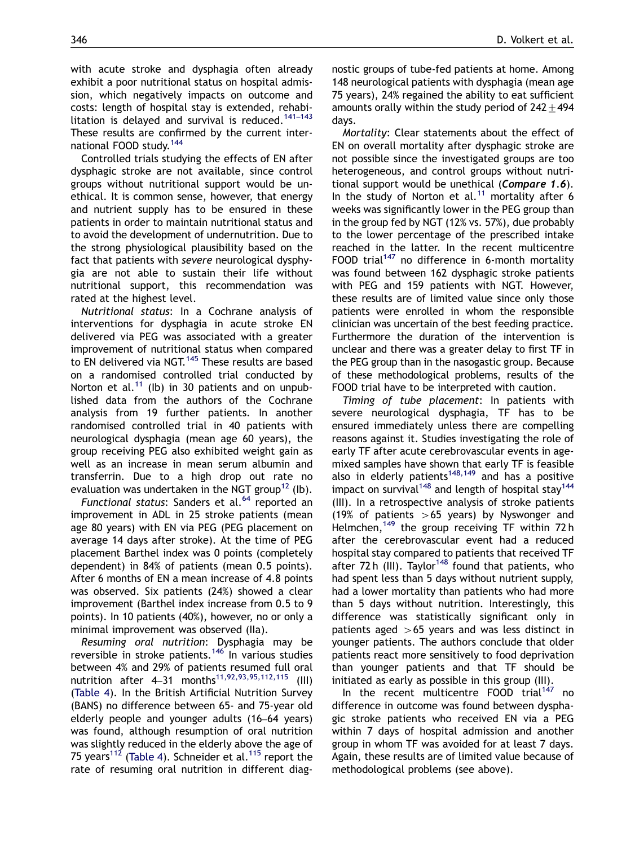with acute stroke and dysphagia often already exhibit a poor nutritional status on hospital admission, which negatively impacts on outcome and costs: length of hospital stay is extended, rehabi-litation is delayed and survival is reduced.<sup>[141](#page-29-0)-143</sup> These results are confirmed by the current international FOOD study.[144](#page-29-0)

Controlled trials studying the effects of EN after dysphagic stroke are not available, since control groups without nutritional support would be unethical. It is common sense, however, that energy and nutrient supply has to be ensured in these patients in order to maintain nutritional status and to avoid the development of undernutrition. Due to the strong physiological plausibility based on the fact that patients with severe neurological dysphygia are not able to sustain their life without nutritional support, this recommendation was rated at the highest level.

Nutritional status: In a Cochrane analysis of interventions for dysphagia in acute stroke EN delivered via PEG was associated with a greater improvement of nutritional status when compared to EN delivered via NGT.<sup>[145](#page-29-0)</sup> These results are based on a randomised controlled trial conducted by Norton et al.<sup>[11](#page-26-0)</sup> (lb) in 30 patients and on unpublished data from the authors of the Cochrane analysis from 19 further patients. In another randomised controlled trial in 40 patients with neurological dysphagia (mean age 60 years), the group receiving PEG also exhibited weight gain as well as an increase in mean serum albumin and transferrin. Due to a high drop out rate no evaluation was undertaken in the NGT group<sup>[12](#page-26-0)</sup> (lb).

Functional status: Sanders et al.<sup>[64](#page-27-0)</sup> reported an improvement in ADL in 25 stroke patients (mean age 80 years) with EN via PEG (PEG placement on average 14 days after stroke). At the time of PEG placement Barthel index was 0 points (completely dependent) in 84% of patients (mean 0.5 points). After 6 months of EN a mean increase of 4.8 points was observed. Six patients (24%) showed a clear improvement (Barthel index increase from 0.5 to 9 points). In 10 patients (40%), however, no or only a minimal improvement was observed (IIa).

Resuming oral nutrition: Dysphagia may be reversible in stroke patients.<sup>[146](#page-29-0)</sup> In various studies between 4% and 29% of patients resumed full oral nutrition after 4–31 months<sup>[11,92,93,95,112,115](#page-26-0)</sup> (III) ([Table 4\)](#page-17-0). In the British Artificial Nutrition Survey (BANS) no difference between 65- and 75-year old elderly people and younger adults (16–64 years) was found, although resumption of oral nutrition was slightly reduced in the elderly above the age of 75 years<sup>[112](#page-28-0)</sup> [\(Table 4\)](#page-17-0). Schneider et al.<sup>[115](#page-28-0)</sup> report the rate of resuming oral nutrition in different diagnostic groups of tube-fed patients at home. Among 148 neurological patients with dysphagia (mean age 75 years), 24% regained the ability to eat sufficient amounts orally within the study period of  $242 \pm 494$ days.

Mortality: Clear statements about the effect of EN on overall mortality after dysphagic stroke are not possible since the investigated groups are too heterogeneous, and control groups without nutritional support would be unethical (Compare 1.6). In the study of Norton et al.<sup>[11](#page-26-0)</sup> mortality after 6 weeks was significantly lower in the PEG group than in the group fed by NGT (12% vs. 57%), due probably to the lower percentage of the prescribed intake reached in the latter. In the recent multicentre FOOD trial<sup>[147](#page-29-0)</sup> no difference in 6-month mortality was found between 162 dysphagic stroke patients with PEG and 159 patients with NGT. However, these results are of limited value since only those patients were enrolled in whom the responsible clinician was uncertain of the best feeding practice. Furthermore the duration of the intervention is unclear and there was a greater delay to first TF in the PEG group than in the nasogastic group. Because of these methodological problems, results of the FOOD trial have to be interpreted with caution.

Timing of tube placement: In patients with severe neurological dysphagia, TF has to be ensured immediately unless there are compelling reasons against it. Studies investigating the role of early TF after acute cerebrovascular events in agemixed samples have shown that early TF is feasible also in elderly patients<sup>[148,149](#page-29-0)</sup> and has a positive impact on survival<sup>[148](#page-29-0)</sup> and length of hospital stay<sup>[144](#page-29-0)</sup> (III). In a retrospective analysis of stroke patients (19% of patients  $>65$  years) by Nyswonger and Helmchen,<sup>[149](#page-29-0)</sup> the group receiving TF within 72 h after the cerebrovascular event had a reduced hospital stay compared to patients that received TF after 72 h (III). Taylor<sup>[148](#page-29-0)</sup> found that patients, who had spent less than 5 days without nutrient supply, had a lower mortality than patients who had more than 5 days without nutrition. Interestingly, this difference was statistically significant only in patients aged  $>65$  years and was less distinct in younger patients. The authors conclude that older patients react more sensitively to food deprivation than younger patients and that TF should be initiated as early as possible in this group (III).

In the recent multicentre FOOD trial $147$  no difference in outcome was found between dysphagic stroke patients who received EN via a PEG within 7 days of hospital admission and another group in whom TF was avoided for at least 7 days. Again, these results are of limited value because of methodological problems (see above).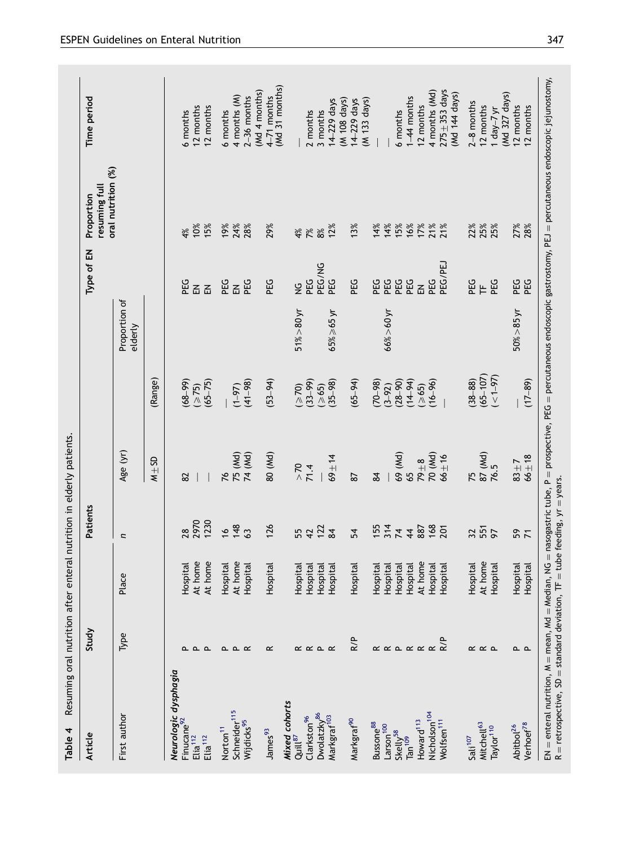<span id="page-17-0"></span>

| Article                                     | Study                               |          | Patients       |                     |                 |                          | Type of EN        | oral nutrition (%)<br>resuming full<br>Proportion | Time period                  |
|---------------------------------------------|-------------------------------------|----------|----------------|---------------------|-----------------|--------------------------|-------------------|---------------------------------------------------|------------------------------|
| First author                                | Type                                | Place    | U              | Age (yr)            |                 | Proportion of<br>elderly |                   |                                                   |                              |
|                                             |                                     |          |                | $M \pm SD$          | (Range)         |                          |                   |                                                   |                              |
| Neurologic dysphagia                        |                                     |          |                |                     |                 |                          |                   |                                                   |                              |
| Finucane <sup>92</sup>                      | ௨                                   | Hospital | 28             | 82                  | $(68 - 39)$     |                          | <b>PEG</b>        | 4%                                                | 6 months                     |
| Elia <sup>112</sup>                         |                                     | At home  | 2970           |                     | (25)            |                          | 즚                 | 10%                                               | 12 months                    |
| Elia <sup>112</sup>                         | <u>പ പ</u>                          | At home  | 1230           |                     | $(65 - 75)$     |                          | 즚                 | 15%                                               | 12 months                    |
| Norton <sup>11</sup>                        |                                     | Hospital | $\frac{1}{2}$  | 76                  |                 |                          | PEG               | 19%                                               | 6 months                     |
| Schneider <sup>115</sup>                    | ᅀᅀᅂ                                 | At home  | 148            |                     | $(1-97)$        |                          | $\underline{\Xi}$ | 24%                                               | 4 months (M)                 |
| Wijdicks <sup>95</sup>                      |                                     |          | $\mathbf{c}$   | 75 (Md)<br>74 (Md)  | $(41 - 98)$     |                          | PEG               | 28%                                               | $2-36$ months                |
|                                             |                                     | Hospital |                |                     |                 |                          |                   |                                                   | (Md 4 months)                |
| James <sup>93</sup>                         | ≃                                   | Hospital | 126            | 80 (Md)             | $(53 - 94)$     |                          | PEG               | 29%                                               | Md 31 months)<br>4-71 months |
| <b>Mixed cohorts</b><br>Quill <sup>87</sup> |                                     |          |                |                     |                 |                          |                   |                                                   |                              |
|                                             |                                     | Hospital | 55             | > 70                | $\geqslant$ 70) | $51\% > 80$ yr           | <u>ي</u>          | 4%                                                |                              |
| Clarkston <sup>96</sup>                     | $\alpha$ $\alpha$ $\alpha$ $\alpha$ | Hospital | $\overline{4}$ | 71.4                | $(33 - 99)$     |                          | <b>PEG</b>        | 7%                                                | 2 months                     |
| Dwolatzky <sup>86</sup>                     |                                     | Hospital | 122            |                     | (59)            |                          | PEG/NG            | 8%                                                | 3 months                     |
| Markgraf <sup>103</sup>                     |                                     | Hospital | $\mathbb{Z}$   | $69 + 14$           | $(35 - 98)$     | $65\% \ge 65$ yr         | <b>PEG</b>        | 12%                                               | 14-229 days                  |
|                                             |                                     |          |                |                     |                 |                          |                   |                                                   | (M 108 days)                 |
| Markgraf <sup>90</sup>                      | R/P                                 | Hospital | Ą              | 22                  | $(65 - 94)$     |                          | <b>PEG</b>        | 13%                                               | 14-229 days                  |
|                                             |                                     |          |                |                     |                 |                          |                   |                                                   | $(M 133$ days)               |
| Bussone <sup>88</sup>                       |                                     | Hospital | 155            | 84                  | $(70 - 98)$     |                          | PEG               | 14%                                               |                              |
| Larson <sup>100</sup>                       |                                     | Hospital |                |                     | $(3 - 92)$      | $66\% > 60$ yr           | PEG               | 14%                                               |                              |
| Skelly <sup>58</sup>                        |                                     | Hospital | 374            | 69 (Md)             | $(28 - 90)$     |                          | PEG               | 15%                                               | 6 months                     |
| Tan <sup>109</sup>                          |                                     | Hospital | $\overline{4}$ | 65                  | $(14 - 94)$     |                          | PEG               | 16%                                               | 1-44 months                  |
| Howard <sup>113</sup>                       | <b>KKAKKK</b>                       | At home  | 887            | $79 + 8$<br>70 (Md) | (≥65)           |                          | 쥬                 | 17%                                               | 12 months                    |
| Nicholson <sup>104</sup>                    |                                     | Hospital | 168            |                     | $(16 - 96)$     |                          | PEG               | 21%<br>21%                                        | 4 months (Md)                |
| Wolfsen <sup>111</sup>                      | R/P                                 | Hospital | $\overline{5}$ | $66 + 16$           |                 |                          | PEG/PEJ           |                                                   | $275 \pm 353$ days           |
|                                             |                                     |          |                |                     |                 |                          |                   |                                                   | (Md 144 days)                |
| Sali <sup>107</sup>                         |                                     | Hospital |                | 75                  | $(38 - 88)$     |                          | PEG               | 22%                                               | $2-8$ months                 |
| Mitchell <sup>63</sup>                      | $\alpha \alpha$                     | At home  | <u>ង ម</u> ួ ខ | 87 (Md)             | $(65 - 107)$    |                          | 片                 |                                                   | 12 months                    |
| Taylor <sup>110</sup>                       |                                     | Hospital |                | 76.5                | $(1 - 97)$      |                          | PEG               | 25%<br>25%                                        | $1$ day $-7$ yr              |
|                                             |                                     |          |                |                     |                 |                          |                   |                                                   | (Md 327 days)                |
| Abitbol <sup>26</sup>                       | പ                                   | Hospital | $\frac{2}{5}$  | $83 + 7$            |                 | $50\% > 85$ yr           | PEG               | 27%                                               | 12 months                    |
| Verhoef <sup>78</sup>                       |                                     | Hospital |                | $66 \pm 18$         | $(17-89)$       |                          | PEG               | 28%                                               | 12 months                    |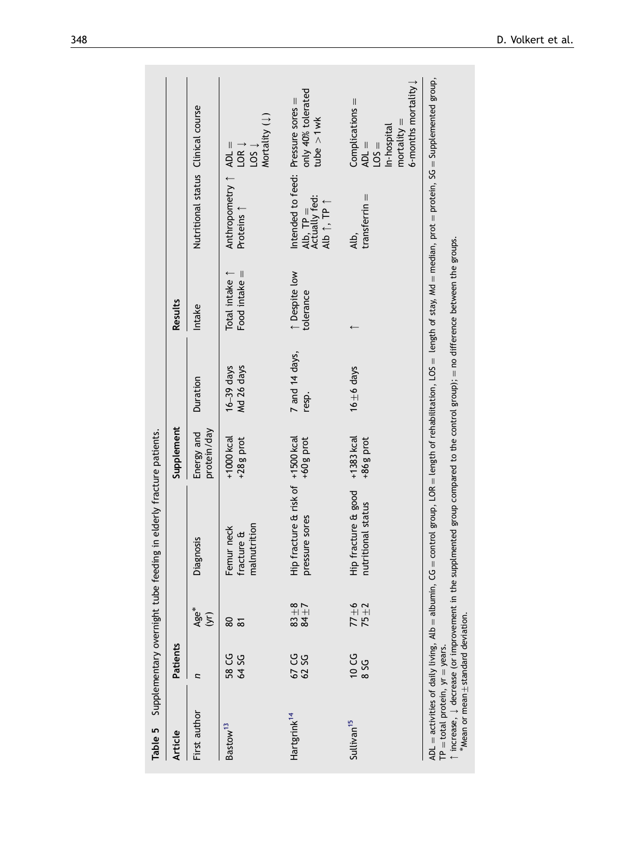<span id="page-18-0"></span>

| Table 5                                                                         | Supplementary overnight tube feeding |                           | in elderly fracture patients.                                                                                                                           |                            |                            |                                 |                                                                                                                                                                                  |  |
|---------------------------------------------------------------------------------|--------------------------------------|---------------------------|---------------------------------------------------------------------------------------------------------------------------------------------------------|----------------------------|----------------------------|---------------------------------|----------------------------------------------------------------------------------------------------------------------------------------------------------------------------------|--|
| Article                                                                         | Patients                             |                           |                                                                                                                                                         | Supplement                 |                            | Results                         |                                                                                                                                                                                  |  |
| First author                                                                    | n                                    | Age <sup>*</sup><br>(yr)  | <b>Diagnosis</b>                                                                                                                                        | protein/day<br>Energy and  | Duration                   | Intake                          | Nutritional status Clinical course                                                                                                                                               |  |
| Bastow <sup>13</sup>                                                            | 53 CG<br>64 SG                       | 80<br>$\overline{\infty}$ | malnutrition<br>Femur neck<br>fracture &                                                                                                                | $+1000$ kcal<br>+28 g prot | Md 26 days<br>$16-39$ days | Food intake $=$<br>Total intake | Mortality (!)<br>$ADL =$<br>LOR $\downarrow$<br>$\overline{1}$ SO<br>Anthropometry 1<br>Proteins 1                                                                               |  |
| Hartgrink <sup>14</sup>                                                         | 67 CG<br>62 SG                       | $83 + 8$<br>$84 + 7$      | Hip fracture & risk of +1500 kcal<br>pressure sores                                                                                                     | +60 g prot                 | 7 and 14 days,<br>resp.    | ↑ Despite low<br>tolerance      | only 40% tolerated<br>Intended to feed: Pressure sores =<br>tube $>1$ wk<br>Alb, TP =<br>Actually fed:<br>Alb $\uparrow$ , TP $\uparrow$                                         |  |
| Sullivan <sup>15</sup>                                                          | 10 CG<br>8 SG                        | $77 \pm 6$<br>75 $\pm 2$  | Hip fracture & good<br>nutritional status                                                                                                               | $+1383$ kcal<br>+86 g prot | 16 $\pm$ 6 days            |                                 | 6-months mortality $\downarrow$<br>$Complications =$<br>$mortality =$<br>In-hospital<br>$ADL =$<br>$\text{LOS} =$<br>$transferrin =$<br>Alb,                                     |  |
| *Mean or mean $\pm$ standard deviation.<br>$TP = total$ protein, $yr = years$ . |                                      |                           | $\uparrow$ increase, $\downarrow$ decrease (or improvement in the supplmented group compared to the control group); = no difference between the groups. |                            |                            |                                 | ADL = activities of daily living, Alb = albumin, CG = control group, LOR = length of rehabilitation, LOS = length of stay, Md = median, prot = protein, SG = Supplemented group, |  |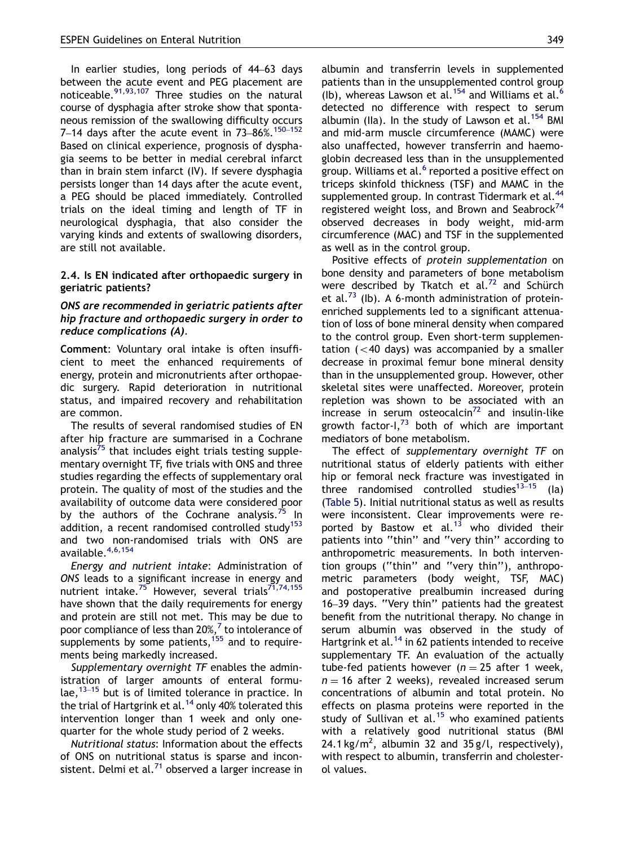In earlier studies, long periods of 44–63 days between the acute event and PEG placement are noticeable.[91,93,107](#page-28-0) Three studies on the natural course of dysphagia after stroke show that spontaneous remission of the swallowing difficulty occurs 7–14 days after the acute event in  $73-86\%$ .  $150-152$  $150-152$ Based on clinical experience, prognosis of dysphagia seems to be better in medial cerebral infarct than in brain stem infarct (IV). If severe dysphagia persists longer than 14 days after the acute event, a PEG should be placed immediately. Controlled trials on the ideal timing and length of TF in neurological dysphagia, that also consider the varying kinds and extents of swallowing disorders, are still not available.

#### 2.4. Is EN indicated after orthopaedic surgery in geriatric patients?

#### ONS are recommended in geriatric patients after hip fracture and orthopaedic surgery in order to reduce complications (A).

Comment: Voluntary oral intake is often insufficient to meet the enhanced requirements of energy, protein and micronutrients after orthopaedic surgery. Rapid deterioration in nutritional status, and impaired recovery and rehabilitation are common.

The results of several randomised studies of EN after hip fracture are summarised in a Cochrane analysis $75$  that includes eight trials testing supplementary overnight TF, five trials with ONS and three studies regarding the effects of supplementary oral protein. The quality of most of the studies and the availability of outcome data were considered poor by the authors of the Cochrane analysis. $75$  In addition, a recent randomised controlled study<sup>[153](#page-29-0)</sup> and two non-randomised trials with ONS are available[.4,6,154](#page-25-0)

Energy and nutrient intake: Administration of ONS leads to a significant increase in energy and nutrient intake. $75$  However, several trials<sup>[71,74,155](#page-27-0)</sup> have shown that the daily requirements for energy and protein are still not met. This may be due to poor compliance of less than 20%, $^7$  $^7$  to intolerance of supplements by some patients,<sup>[155](#page-29-0)</sup> and to requirements being markedly increased.

Supplementary overnight TF enables the administration of larger amounts of enteral formulae,  $13-15$  $13-15$  but is of limited tolerance in practice. In the trial of Hartgrink et al.<sup>[14](#page-26-0)</sup> only 40% tolerated this intervention longer than 1 week and only onequarter for the whole study period of 2 weeks.

Nutritional status: Information about the effects of ONS on nutritional status is sparse and incon-sistent. Delmi et al.<sup>[71](#page-27-0)</sup> observed a larger increase in albumin and transferrin levels in supplemented patients than in the unsupplemented control group (Ib), whereas Lawson et al.<sup>[154](#page-29-0)</sup> and Williams et al.<sup>[6](#page-25-0)</sup> detected no difference with respect to serum albumin (IIa). In the study of Lawson et al.<sup>[154](#page-29-0)</sup> BMI and mid-arm muscle circumference (MAMC) were also unaffected, however transferrin and haemoglobin decreased less than in the unsupplemented group. Williams et al.<sup>[6](#page-25-0)</sup> reported a positive effect on triceps skinfold thickness (TSF) and MAMC in the supplemented group. In contrast Tidermark et al.<sup>[44](#page-26-0)</sup> registered weight loss, and Brown and Seabrock $^{74}$  $^{74}$  $^{74}$ observed decreases in body weight, mid-arm circumference (MAC) and TSF in the supplemented as well as in the control group.

Positive effects of protein supplementation on bone density and parameters of bone metabolism were described by Tkatch et al. $^{72}$  $^{72}$  $^{72}$  and Schürch et al. $^{73}$  $^{73}$  $^{73}$  (lb). A 6-month administration of proteinenriched supplements led to a significant attenuation of loss of bone mineral density when compared to the control group. Even short-term supplementation ( $<$ 40 days) was accompanied by a smaller decrease in proximal femur bone mineral density than in the unsupplemented group. However, other skeletal sites were unaffected. Moreover, protein repletion was shown to be associated with an increase in serum osteocalcin $72$  and insulin-like growth factor-I, $^{73}$  $^{73}$  $^{73}$  both of which are important mediators of bone metabolism.

The effect of supplementary overnight TF on nutritional status of elderly patients with either hip or femoral neck fracture was investigated in three randomised controlled studies<sup>[13](#page-26-0)-15</sup> (la) [\(Table 5\)](#page-18-0). Initial nutritional status as well as results were inconsistent. Clear improvements were reported by Bastow et al. $^{13}$  $^{13}$  $^{13}$  who divided their patients into ''thin'' and ''very thin'' according to anthropometric measurements. In both intervention groups (''thin'' and ''very thin''), anthropometric parameters (body weight, TSF, MAC) and postoperative prealbumin increased during 16–39 days. ''Very thin'' patients had the greatest benefit from the nutritional therapy. No change in serum albumin was observed in the study of Hartgrink et al.<sup>[14](#page-26-0)</sup> in 62 patients intended to receive supplementary TF. An evaluation of the actually tube-fed patients however ( $n = 25$  after 1 week,  $n = 16$  after 2 weeks), revealed increased serum concentrations of albumin and total protein. No effects on plasma proteins were reported in the study of Sullivan et al.<sup>[15](#page-26-0)</sup> who examined patients with a relatively good nutritional status (BMI  $24.1 \text{ kg/m}^2$ , albumin 32 and 35 g/l, respectively), with respect to albumin, transferrin and cholesterol values.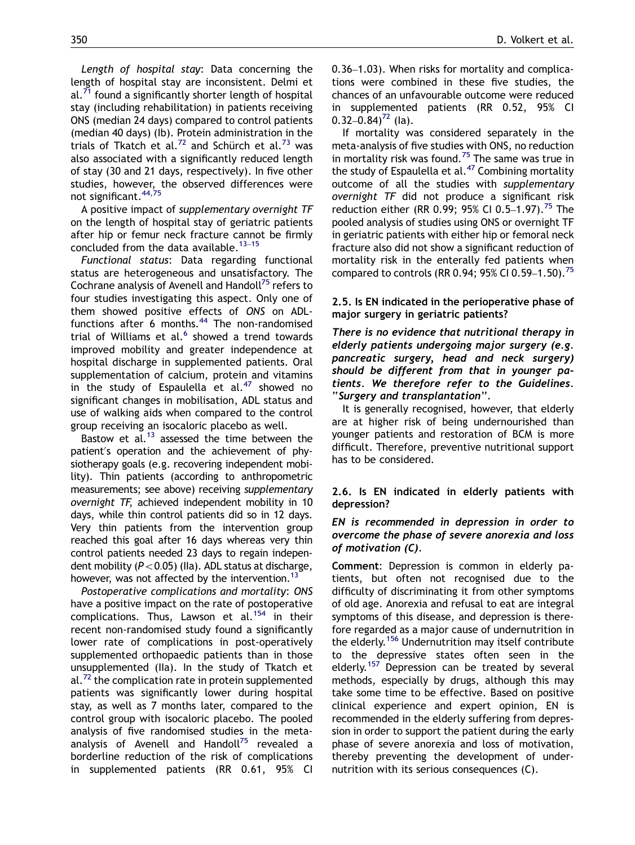Length of hospital stay: Data concerning the length of hospital stay are inconsistent. Delmi et al. $^{71}$  $^{71}$  $^{71}$  found a significantly shorter length of hospital stay (including rehabilitation) in patients receiving ONS (median 24 days) compared to control patients (median 40 days) (Ib). Protein administration in the trials of Tkatch et al.<sup>[72](#page-27-0)</sup> and Schürch et al.<sup>[73](#page-27-0)</sup> was also associated with a significantly reduced length of stay (30 and 21 days, respectively). In five other studies, however, the observed differences were not significant.[44,75](#page-26-0)

A positive impact of supplementary overnight TF on the length of hospital stay of geriatric patients after hip or femur neck fracture cannot be firmly concluded from the data available. $13-15$  $13-15$ 

Functional status: Data regarding functional status are heterogeneous and unsatisfactory. The Cochrane analysis of Avenell and Handoll $^{75}$  refers to four studies investigating this aspect. Only one of them showed positive effects of ONS on ADL-functions after 6 months.<sup>[44](#page-26-0)</sup> The non-randomised trial of Williams et al. $<sup>6</sup>$  $<sup>6</sup>$  $<sup>6</sup>$  showed a trend towards</sup> improved mobility and greater independence at hospital discharge in supplemented patients. Oral supplementation of calcium, protein and vitamins in the study of Espaulella et al. $47$  showed no significant changes in mobilisation, ADL status and use of walking aids when compared to the control group receiving an isocaloric placebo as well.

Bastow et  $aL^{13}$  $aL^{13}$  $aL^{13}$  assessed the time between the patient's operation and the achievement of physiotherapy goals (e.g. recovering independent mobility). Thin patients (according to anthropometric measurements; see above) receiving supplementary overnight TF, achieved independent mobility in 10 days, while thin control patients did so in 12 days. Very thin patients from the intervention group reached this goal after 16 days whereas very thin control patients needed 23 days to regain independent mobility ( $P < 0.05$ ) (IIa). ADL status at discharge, however, was not affected by the intervention.<sup>13</sup>

Postoperative complications and mortality: ONS have a positive impact on the rate of postoperative complications. Thus, Lawson et al.<sup>[154](#page-29-0)</sup> in their recent non-randomised study found a significantly lower rate of complications in post-operatively supplemented orthopaedic patients than in those unsupplemented (IIa). In the study of Tkatch et  $al.^{\prime 2}$  the complication rate in protein supplemented patients was significantly lower during hospital stay, as well as 7 months later, compared to the control group with isocaloric placebo. The pooled analysis of five randomised studies in the metaanalysis of Avenell and Handoll<sup>75</sup> revealed a borderline reduction of the risk of complications in supplemented patients (RR 0.61, 95% CI 0.36–1.03). When risks for mortality and complications were combined in these five studies, the chances of an unfavourable outcome were reduced in supplemented patients (RR 0.52, 95% CI  $0.32 - 0.84$ <sup>[72](#page-27-0)</sup> (la).

If mortality was considered separately in the meta-analysis of five studies with ONS, no reduction in mortality risk was found.<sup>[75](#page-27-0)</sup> The same was true in the study of Espaulella et al. $47$  Combining mortality outcome of all the studies with supplementary overnight TF did not produce a significant risk reduction either (RR 0.99; 95% CI 0.5-1.97).<sup>[75](#page-27-0)</sup> The pooled analysis of studies using ONS or overnight TF in geriatric patients with either hip or femoral neck fracture also did not show a significant reduction of mortality risk in the enterally fed patients when compared to controls (RR 0.94; 95% CI 0.59–1.50).<sup>[75](#page-27-0)</sup>

#### 2.5. Is EN indicated in the perioperative phase of major surgery in geriatric patients?

There is no evidence that nutritional therapy in elderly patients undergoing major surgery (e.g. pancreatic surgery, head and neck surgery) should be different from that in younger patients. We therefore refer to the Guidelines. ''Surgery and transplantation''.

It is generally recognised, however, that elderly are at higher risk of being undernourished than younger patients and restoration of BCM is more difficult. Therefore, preventive nutritional support has to be considered.

#### 2.6. Is EN indicated in elderly patients with depression?

#### EN is recommended in depression in order to overcome the phase of severe anorexia and loss of motivation (C).

Comment: Depression is common in elderly patients, but often not recognised due to the difficulty of discriminating it from other symptoms of old age. Anorexia and refusal to eat are integral symptoms of this disease, and depression is therefore regarded as a major cause of undernutrition in the elderly.<sup>[156](#page-29-0)</sup> Undernutrition may itself contribute to the depressive states often seen in the elderly.<sup>[157](#page-29-0)</sup> Depression can be treated by several methods, especially by drugs, although this may take some time to be effective. Based on positive clinical experience and expert opinion, EN is recommended in the elderly suffering from depression in order to support the patient during the early phase of severe anorexia and loss of motivation, thereby preventing the development of undernutrition with its serious consequences (C).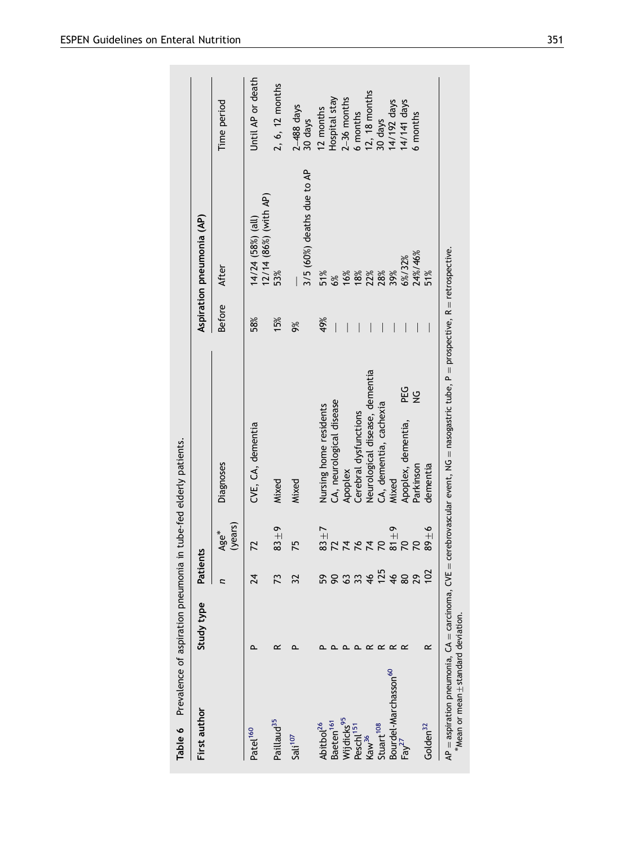<span id="page-21-0"></span>

| First author                     | Study type | Patient       | ņ                           |                                |                          | Aspiration pneumonia (AP)                  |                           |
|----------------------------------|------------|---------------|-----------------------------|--------------------------------|--------------------------|--------------------------------------------|---------------------------|
|                                  |            |               | (years)<br>Age <sup>*</sup> | Diagnoses                      | <b>Before</b>            | After                                      | Time period               |
| Patel <sup>160</sup>             | Δ          | 24            | $\overline{z}$              | CVE, CA, dementia              | 58%                      | 12/14 (86%) (with AP)<br>14/24 (58%) (all) | Until AP or death         |
| Paillaud <sup>35</sup>           | ≃          | 73            | $83 + 9$                    | Mixed                          | 15%                      | 53%                                        | 2, 6, 12 months           |
| Sali <sup>107</sup>              |            | 32            | 75                          | Mixed                          | 9%                       | 3/5 (60%) deaths due to AP                 | $2 - 488$ days<br>30 days |
| Abitbol <sup>26</sup>            |            | 50            | $83 + 7$                    | Nursing home residents         | 49%                      | 51%                                        | 12 months                 |
| Baeten <sup>161</sup>            |            | S.            | 72                          | CA, neurological disease       | $\overline{\phantom{a}}$ | 6%                                         | Hospital stay             |
| Wijdicks <sup>95</sup>           |            |               | $\overline{z}$              | Apoplex                        |                          |                                            | $2-36$ months             |
| Peschl <sup>151</sup>            |            | 33            | 76                          | Cerebral dysfunctions          |                          | 16%<br>18%                                 | 6 months                  |
| Kaw <sup>36</sup>                | œ          | $\frac{4}{6}$ | $\overline{7}$              | Neurological disease, dementia |                          | 22%                                        | 12, 18 months             |
| Stuart <sup>108</sup>            |            | 125           | $\mathcal{R}$               | CA, dementia, cachexia         |                          | 28%                                        | 30 days                   |
| Bourdel-Marchasson <sup>60</sup> | $\propto$  | $\frac{4}{6}$ |                             | Mixed                          |                          | 39%                                        | 14/192 days               |
| Fav <sup>27</sup>                | ≃          | $80\,$        | $6^{+10}_{-8}$              | Apoplex, dementia,             |                          | 6%/32%                                     | 14/141 days               |
|                                  |            | 29            | $\mathcal{R}$               | ទី ភិ<br>Parkinson             |                          | 24%/46%                                    | 6 months                  |
| Golden <sup>32</sup>             | ∝          | <u>501</u>    | $9 + 68$                    | dementia                       |                          | 51%                                        |                           |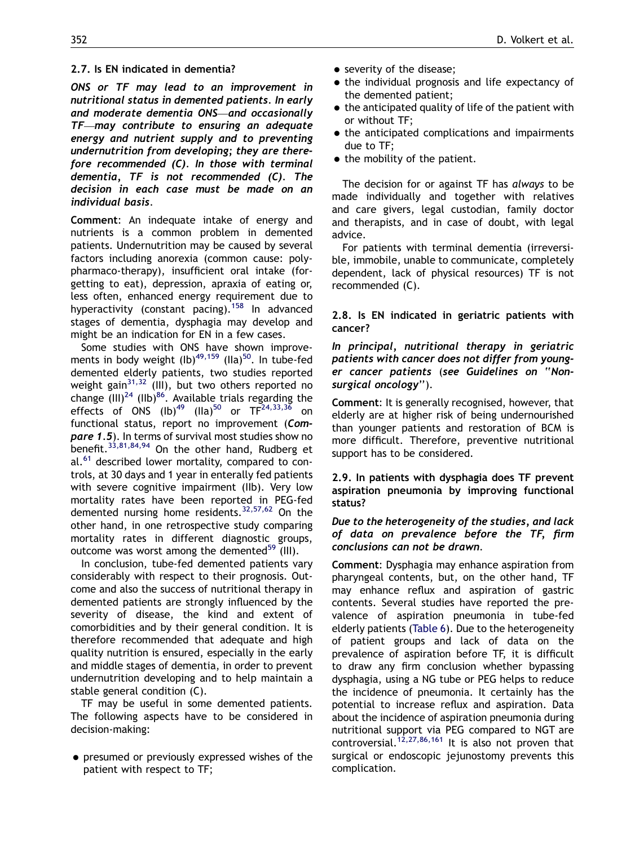#### 2.7. Is EN indicated in dementia?

ONS or TF may lead to an improvement in nutritional status in demented patients. In early and moderate dementia ONS—and occasionally TF—may contribute to ensuring an adequate energy and nutrient supply and to preventing undernutrition from developing; they are therefore recommended (C). In those with terminal dementia, TF is not recommended (C). The decision in each case must be made on an individual basis.

Comment: An indequate intake of energy and nutrients is a common problem in demented patients. Undernutrition may be caused by several factors including anorexia (common cause: polypharmaco-therapy), insufficient oral intake (forgetting to eat), depression, apraxia of eating or, less often, enhanced energy requirement due to hyperactivity (constant pacing).<sup>[158](#page-29-0)</sup> In advanced stages of dementia, dysphagia may develop and might be an indication for EN in a few cases.

Some studies with ONS have shown improvements in body weight  $\text{(lb)}^{49,159}$  $\text{(lb)}^{49,159}$  $\text{(lb)}^{49,159}$   $\text{(lla)}^{50}$  $\text{(lla)}^{50}$  $\text{(lla)}^{50}$ . In tube-fed demented elderly patients, two studies reported weight gain<sup>31,32</sup> (III), but two others reported no change  $(III)^{24}$  $(III)^{24}$  $(III)^{24}$  (IIb)<sup>86</sup>. Available trials regarding the effects of ONS  $(lb)^{49}$  $(lb)^{49}$  $(lb)^{49}$   $(lla)^{50}$  $(lla)^{50}$  $(lla)^{50}$  or TF<sup>[24,33,36](#page-26-0)</sup> on functional status, report no improvement (Compare 1.5). In terms of survival most studies show no benefit.[33,81,84,94](#page-26-0) On the other hand, Rudberg et al.<sup>[61](#page-27-0)</sup> described lower mortality, compared to controls, at 30 days and 1 year in enterally fed patients with severe cognitive impairment (IIb). Very low mortality rates have been reported in PEG-fed demented nursing home residents.[32,57,62](#page-26-0) On the other hand, in one retrospective study comparing mortality rates in different diagnostic groups, outcome was worst among the demented $59$  (III).

In conclusion, tube-fed demented patients vary considerably with respect to their prognosis. Outcome and also the success of nutritional therapy in demented patients are strongly influenced by the severity of disease, the kind and extent of comorbidities and by their general condition. It is therefore recommended that adequate and high quality nutrition is ensured, especially in the early and middle stages of dementia, in order to prevent undernutrition developing and to help maintain a stable general condition (C).

TF may be useful in some demented patients. The following aspects have to be considered in decision-making:

 presumed or previously expressed wishes of the patient with respect to TF;

- severity of the disease;
- the individual prognosis and life expectancy of the demented patient;
- the anticipated quality of life of the patient with or without TF;
- the anticipated complications and impairments due to TF;
- $\bullet$  the mobility of the patient.

The decision for or against TF has always to be made individually and together with relatives and care givers, legal custodian, family doctor and therapists, and in case of doubt, with legal advice.

For patients with terminal dementia (irreversible, immobile, unable to communicate, completely dependent, lack of physical resources) TF is not recommended (C).

#### 2.8. Is EN indicated in geriatric patients with cancer?

In principal, nutritional therapy in geriatric patients with cancer does not differ from younger cancer patients (see Guidelines on ''Nonsurgical oncology'').

Comment: It is generally recognised, however, that elderly are at higher risk of being undernourished than younger patients and restoration of BCM is more difficult. Therefore, preventive nutritional support has to be considered.

2.9. In patients with dysphagia does TF prevent aspiration pneumonia by improving functional status?

#### Due to the heterogeneity of the studies, and lack of data on prevalence before the TF, firm conclusions can not be drawn.

Comment: Dysphagia may enhance aspiration from pharyngeal contents, but, on the other hand, TF may enhance reflux and aspiration of gastric contents. Several studies have reported the prevalence of aspiration pneumonia in tube-fed elderly patients [\(Table 6](#page-21-0)). Due to the heterogeneity of patient groups and lack of data on the prevalence of aspiration before TF, it is difficult to draw any firm conclusion whether bypassing dysphagia, using a NG tube or PEG helps to reduce the incidence of pneumonia. It certainly has the potential to increase reflux and aspiration. Data about the incidence of aspiration pneumonia during nutritional support via PEG compared to NGT are controversial.<sup>[12,27,86,161](#page-26-0)</sup> It is also not proven that surgical or endoscopic jejunostomy prevents this complication.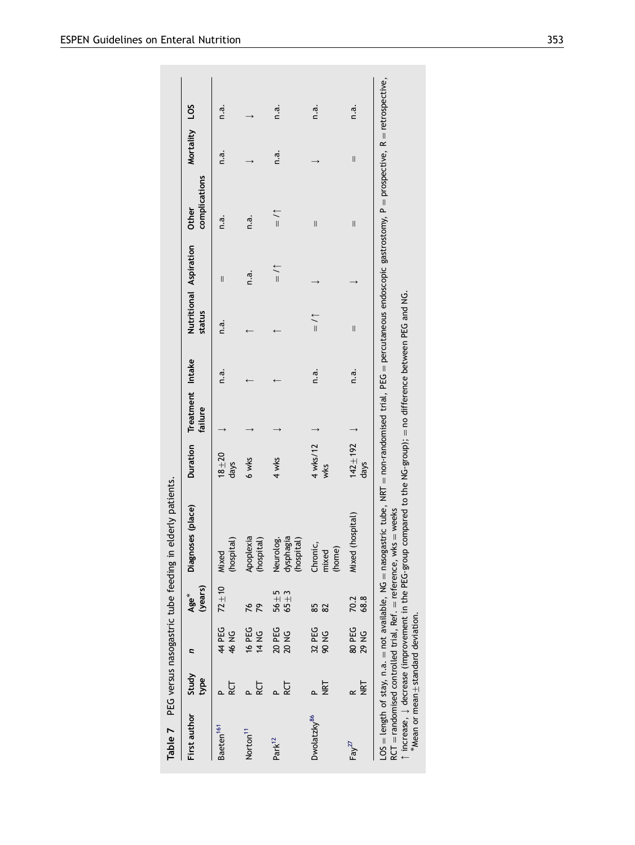<span id="page-23-0"></span>

| Table 7 PEG versus nasogastric tube feeding in                                                         |               |                        |                             | elderly patients.                                                                                                                                                                                                                                                                                                    |                     |                                      |      |                 |                        |                               |               |      |
|--------------------------------------------------------------------------------------------------------|---------------|------------------------|-----------------------------|----------------------------------------------------------------------------------------------------------------------------------------------------------------------------------------------------------------------------------------------------------------------------------------------------------------------|---------------------|--------------------------------------|------|-----------------|------------------------|-------------------------------|---------------|------|
| First author                                                                                           | Study<br>type | ς                      | (years)<br>Age <sup>*</sup> | Diagnoses (place)                                                                                                                                                                                                                                                                                                    |                     | Duration Treatment Intake<br>failure |      | status          | Nutritional Aspiration | complications<br><b>Other</b> | Mortality LOS |      |
| Baeten <sup>161</sup>                                                                                  | n<br>∑        | 44 PEG<br>46 NG        | $72 + 10$                   | (hospital)<br>Mixed                                                                                                                                                                                                                                                                                                  | $18 + 20$<br>days   |                                      | n.a. | n.a.            | $\mathsf{I}$           | n.a.                          | n.a.          | n.a. |
| Norton <sup>11</sup>                                                                                   | ि<br>स        | 16 PEG<br>14 NG        | 76<br>79                    | Apoplexia<br>(hospital)                                                                                                                                                                                                                                                                                              | 6 wks               |                                      |      |                 | n.a.                   | n.a.                          |               |      |
| Park <sup>12</sup>                                                                                     | †<br>∑        | 20 PEG<br>20 NG        | $56 + 5$<br>$65 + 3$        | dysphagia<br>Neurolog.<br>(hospital)                                                                                                                                                                                                                                                                                 | 4 wks               |                                      |      |                 | $\frac{1}{1}$          | $\frac{1}{1}$                 | n.a.          | n.a. |
| Dwolatzky <sup>86</sup>                                                                                | n<br>N        | 32 PEG<br><b>90 NG</b> | 85<br>82                    | Chronic,<br>mixed<br>(home)                                                                                                                                                                                                                                                                                          | 4 wks/12<br>wks     |                                      | n.a. | $\frac{1}{\pi}$ |                        | $\parallel$                   |               | n.a. |
| Fay $^{27}$                                                                                            | <b>Tak</b>    | 80 PEG<br>29 NG        | 68.8<br>70.2                | (hospital)<br>Mixed                                                                                                                                                                                                                                                                                                  | $142 + 192$<br>days |                                      | n.a. | $\parallel$     |                        | $\parallel$                   | $\parallel$   | n.a. |
| $RCT =$ randomised controlled trial, $Ret. =$ reference, wh<br>*Mean or mean $\pm$ standard deviation. |               |                        |                             | LOS = length of stay, n.a. = not available, NG = nasogastric tube, NRT = non-randomised trial, PEG = percutaneous endoscopic gastrostomy, P = prospective, R = retrospective,<br>t increase, I decrease (improvement in the PEG-group compared to the NG-group); = no difference between PEG and NG.<br>$ks = weeks$ |                     |                                      |      |                 |                        |                               |               |      |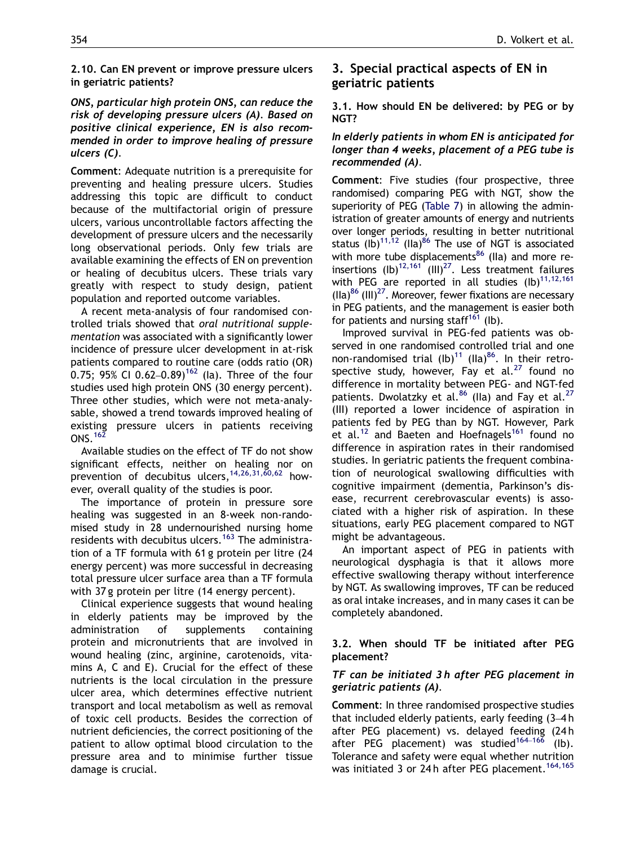2.10. Can EN prevent or improve pressure ulcers in geriatric patients?

#### ONS, particular high protein ONS, can reduce the risk of developing pressure ulcers (A). Based on positive clinical experience, EN is also recommended in order to improve healing of pressure ulcers (C).

Comment: Adequate nutrition is a prerequisite for preventing and healing pressure ulcers. Studies addressing this topic are difficult to conduct because of the multifactorial origin of pressure ulcers, various uncontrollable factors affecting the development of pressure ulcers and the necessarily long observational periods. Only few trials are available examining the effects of EN on prevention or healing of decubitus ulcers. These trials vary greatly with respect to study design, patient population and reported outcome variables.

A recent meta-analysis of four randomised controlled trials showed that oral nutritional supplementation was associated with a significantly lower incidence of pressure ulcer development in at-risk patients compared to routine care (odds ratio (OR) 0.75; 95% CI 0.62–0.89)<sup>[162](#page-29-0)</sup> (la). Three of the four studies used high protein ONS (30 energy percent). Three other studies, which were not meta-analysable, showed a trend towards improved healing of existing pressure ulcers in patients receiving ONS.<sup>[162](#page-29-0)</sup>

Available studies on the effect of TF do not show significant effects, neither on healing nor on prevention of decubitus ulcers,[14,26,31,60,62](#page-26-0) however, overall quality of the studies is poor.

The importance of protein in pressure sore healing was suggested in an 8-week non-randomised study in 28 undernourished nursing home residents with decubitus ulcers.<sup>[163](#page-29-0)</sup> The administration of a TF formula with 61 g protein per litre (24 energy percent) was more successful in decreasing total pressure ulcer surface area than a TF formula with 37 g protein per litre (14 energy percent).

Clinical experience suggests that wound healing in elderly patients may be improved by the administration of supplements containing protein and micronutrients that are involved in wound healing (zinc, arginine, carotenoids, vitamins A, C and E). Crucial for the effect of these nutrients is the local circulation in the pressure ulcer area, which determines effective nutrient transport and local metabolism as well as removal of toxic cell products. Besides the correction of nutrient deficiencies, the correct positioning of the patient to allow optimal blood circulation to the pressure area and to minimise further tissue damage is crucial.

## 3. Special practical aspects of EN in geriatric patients

3.1. How should EN be delivered: by PEG or by NGT?

#### In elderly patients in whom EN is anticipated for longer than 4 weeks, placement of a PEG tube is recommended (A).

Comment: Five studies (four prospective, three randomised) comparing PEG with NGT, show the superiority of PEG [\(Table 7\)](#page-23-0) in allowing the administration of greater amounts of energy and nutrients over longer periods, resulting in better nutritional status  $(\overline{1b})^{11,12}$  $(\overline{1b})^{11,12}$  $(\overline{1b})^{11,12}$  (IIa)<sup>86</sup> The use of NGT is associated with more tube displacements<sup>[86](#page-28-0)</sup> (IIa) and more reinsertions  $(Ib)^{12,161}$   $(III)^{27}$ . Less treatment failures with PEG are reported in all studies  $(Ib)^{11,12,161}$  $(Ib)^{11,12,161}$  $(Ib)^{11,12,161}$ (IIa) $^{86}$  $^{86}$  $^{86}$  (III)<sup>27</sup>. Moreover, fewer fixations are necessary in PEG patients, and the management is easier both for patients and nursing staff<sup>161</sup> (lb).

Improved survival in PEG-fed patients was observed in one randomised controlled trial and one non-randomised trial  $(lb)^{11}$  $(lb)^{11}$  $(lb)^{11}$  (IIa)<sup>86</sup>. In their retro-spective study, however, Fay et al.<sup>[27](#page-26-0)</sup> found no difference in mortality between PEG- and NGT-fed patients. Dwolatzky et al. $86$  (IIa) and Fay et al.<sup>[27](#page-26-0)</sup> (III) reported a lower incidence of aspiration in patients fed by PEG than by NGT. However, Park et al.<sup>[12](#page-26-0)</sup> and Baeten and Hoefnagels<sup>[161](#page-29-0)</sup> found no difference in aspiration rates in their randomised studies. In geriatric patients the frequent combination of neurological swallowing difficulties with cognitive impairment (dementia, Parkinson's disease, recurrent cerebrovascular events) is associated with a higher risk of aspiration. In these situations, early PEG placement compared to NGT might be advantageous.

An important aspect of PEG in patients with neurological dysphagia is that it allows more effective swallowing therapy without interference by NGT. As swallowing improves, TF can be reduced as oral intake increases, and in many cases it can be completely abandoned.

## 3.2. When should TF be initiated after PEG placement?

#### TF can be initiated 3 h after PEG placement in geriatric patients (A).

Comment: In three randomised prospective studies that included elderly patients, early feeding (3–4 h after PEG placement) vs. delayed feeding (24 h after PEG placement) was studied<sup>[164](#page-30-0)–166</sup> (lb). Tolerance and safety were equal whether nutrition was initiated 3 or 24h after PEG placement.<sup>[164,165](#page-30-0)</sup>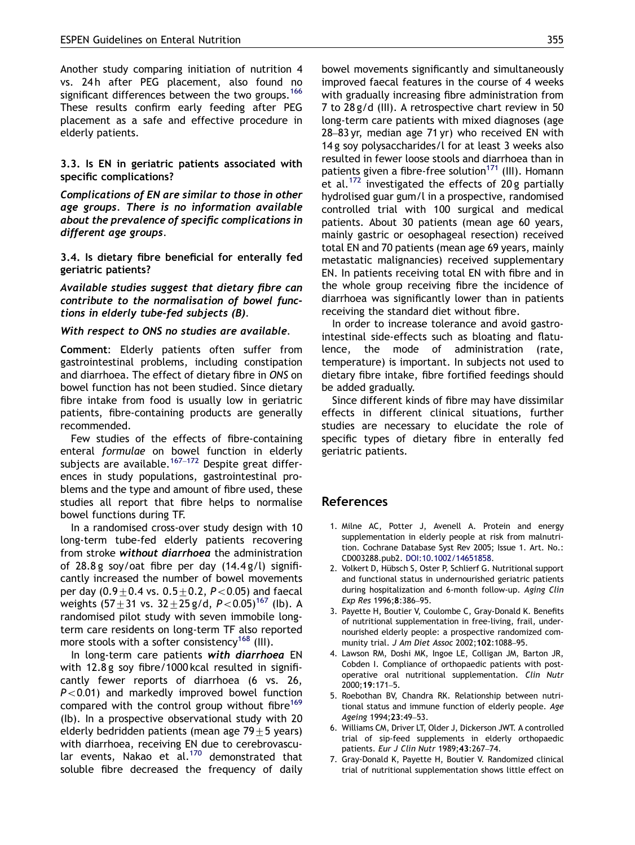<span id="page-25-0"></span>Another study comparing initiation of nutrition 4 vs. 24h after PEG placement, also found no significant differences between the two groups.<sup>[166](#page-30-0)</sup> These results confirm early feeding after PEG placement as a safe and effective procedure in elderly patients.

#### 3.3. Is EN in geriatric patients associated with specific complications?

Complications of EN are similar to those in other age groups. There is no information available about the prevalence of specific complications in different age groups.

3.4. Is dietary fibre beneficial for enterally fed geriatric patients?

Available studies suggest that dietary fibre can contribute to the normalisation of bowel functions in elderly tube-fed subjects (B).

#### With respect to ONS no studies are available.

Comment: Elderly patients often suffer from gastrointestinal problems, including constipation and diarrhoea. The effect of dietary fibre in ONS on bowel function has not been studied. Since dietary fibre intake from food is usually low in geriatric patients, fibre-containing products are generally recommended.

Few studies of the effects of fibre-containing enteral formulae on bowel function in elderly subjects are available.<sup>167–[172](#page-30-0)</sup> Despite great differences in study populations, gastrointestinal problems and the type and amount of fibre used, these studies all report that fibre helps to normalise bowel functions during TF.

In a randomised cross-over study design with 10 long-term tube-fed elderly patients recovering from stroke without diarrhoea the administration of 28.8 g soy/oat fibre per day (14.4 g/l) significantly increased the number of bowel movements per day  $(0.9+0.4 \text{ vs. } 0.5+0.2, P<0.05)$  and faecal weights  $(57 \pm 31 \text{ vs. } 32 \pm 25 \text{ g/d}, P < 0.05)^{167}$  $(57 \pm 31 \text{ vs. } 32 \pm 25 \text{ g/d}, P < 0.05)^{167}$  $(57 \pm 31 \text{ vs. } 32 \pm 25 \text{ g/d}, P < 0.05)^{167}$  (lb). A randomised pilot study with seven immobile longterm care residents on long-term TF also reported more stools with a softer consistency<sup>[168](#page-30-0)</sup> (III).

In long-term care patients with diarrhoea EN with 12.8 g soy fibre/1000 kcal resulted in significantly fewer reports of diarrhoea (6 vs. 26,  $P < 0.01$ ) and markedly improved bowel function compared with the control group without fibre<sup>[169](#page-30-0)</sup> (Ib). In a prospective observational study with 20 elderly bedridden patients (mean age  $79 \pm 5$  years) with diarrhoea, receiving EN due to cerebrovascu-lar events, Nakao et al.<sup>[170](#page-30-0)</sup> demonstrated that soluble fibre decreased the frequency of daily bowel movements significantly and simultaneously improved faecal features in the course of 4 weeks with gradually increasing fibre administration from 7 to 28 g/d (III). A retrospective chart review in 50 long-term care patients with mixed diagnoses (age 28–83 yr, median age 71 yr) who received EN with 14 g soy polysaccharides/l for at least 3 weeks also resulted in fewer loose stools and diarrhoea than in patients given a fibre-free solution<sup>[171](#page-30-0)</sup> (III). Homann et al.<sup>[172](#page-30-0)</sup> investigated the effects of 20 g partially hydrolised guar gum/l in a prospective, randomised controlled trial with 100 surgical and medical patients. About 30 patients (mean age 60 years, mainly gastric or oesophageal resection) received total EN and 70 patients (mean age 69 years, mainly metastatic malignancies) received supplementary EN. In patients receiving total EN with fibre and in the whole group receiving fibre the incidence of diarrhoea was significantly lower than in patients receiving the standard diet without fibre.

In order to increase tolerance and avoid gastrointestinal side-effects such as bloating and flatulence, the mode of administration (rate, temperature) is important. In subjects not used to dietary fibre intake, fibre fortified feedings should be added gradually.

Since different kinds of fibre may have dissimilar effects in different clinical situations, further studies are necessary to elucidate the role of specific types of dietary fibre in enterally fed geriatric patients.

#### References

- 1. Milne AC, Potter J, Avenell A. Protein and energy supplementation in elderly people at risk from malnutrition. Cochrane Database Syst Rev 2005; Issue 1. Art. No.: CD003288.pub2. [DOI:10.1002/14651858.](http://dx.doi.org/10.1002/14651858)
- 2. Volkert D, Hübsch S, Oster P, Schlierf G. Nutritional support and functional status in undernourished geriatric patients during hospitalization and 6-month follow-up. Aging Clin Exp Res 1996;8:386–95.
- 3. Payette H, Boutier V, Coulombe C, Gray-Donald K. Benefits of nutritional supplementation in free-living, frail, undernourished elderly people: a prospective randomized community trial. J Am Diet Assoc 2002;102:1088–95.
- 4. Lawson RM, Doshi MK, Ingoe LE, Colligan JM, Barton JR, Cobden I. Compliance of orthopaedic patients with postoperative oral nutritional supplementation. Clin Nutr 2000;19:171–5.
- 5. Roebothan BV, Chandra RK. Relationship between nutritional status and immune function of elderly people. Age Ageing 1994;23:49–53.
- 6. Williams CM, Driver LT, Older J, Dickerson JWT. A controlled trial of sip-feed supplements in elderly orthopaedic patients. Eur J Clin Nutr 1989;43:267–74.
- 7. Gray-Donald K, Payette H, Boutier V. Randomized clinical trial of nutritional supplementation shows little effect on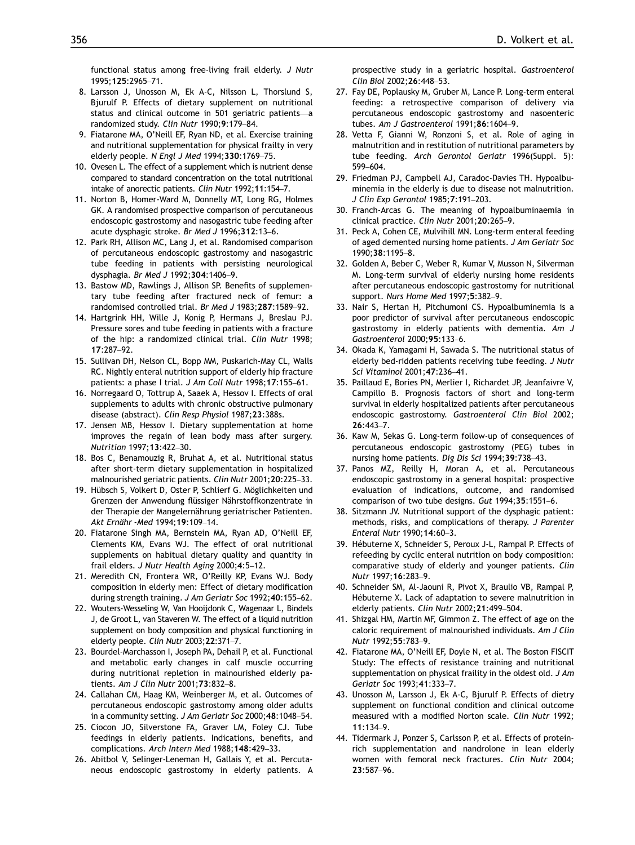<span id="page-26-0"></span>functional status among free-living frail elderly. J Nutr 1995;125:2965–71.

- 8. Larsson J, Unosson M, Ek A-C, Nilsson L, Thorslund S, Bjurulf P. Effects of dietary supplement on nutritional status and clinical outcome in 501 geriatric patients—a randomized study. Clin Nutr 1990;9:179–84.
- 9. Fiatarone MA, O'Neill EF, Ryan ND, et al. Exercise training and nutritional supplementation for physical frailty in very elderly people. N Engl J Med 1994;330:1769–75.
- 10. Ovesen L. The effect of a supplement which is nutrient dense compared to standard concentration on the total nutritional intake of anorectic patients. Clin Nutr 1992;11:154–7.
- 11. Norton B, Homer-Ward M, Donnelly MT, Long RG, Holmes GK. A randomised prospective comparison of percutaneous endoscopic gastrostomy and nasogastric tube feeding after acute dysphagic stroke. Br Med J 1996;312:13–6.
- 12. Park RH, Allison MC, Lang J, et al. Randomised comparison of percutaneous endoscopic gastrostomy and nasogastric tube feeding in patients with persisting neurological dysphagia. Br Med J 1992;304:1406–9.
- 13. Bastow MD, Rawlings J, Allison SP. Benefits of supplementary tube feeding after fractured neck of femur: a randomised controlled trial. Br Med J 1983;287:1589–92.
- 14. Hartgrink HH, Wille J, Konig P, Hermans J, Breslau PJ. Pressure sores and tube feeding in patients with a fracture of the hip: a randomized clinical trial. Clin Nutr 1998; 17:287–92.
- 15. Sullivan DH, Nelson CL, Bopp MM, Puskarich-May CL, Walls RC. Nightly enteral nutrition support of elderly hip fracture patients: a phase I trial. J Am Coll Nutr 1998;17:155-61.
- 16. Norregaard O, Tottrup A, Saaek A, Hessov I. Effects of oral supplements to adults with chronic obstructive pulmonary disease (abstract). Clin Resp Physiol 1987;23:388s.
- 17. Jensen MB, Hessov I. Dietary supplementation at home improves the regain of lean body mass after surgery. Nutrition 1997;13:422–30.
- 18. Bos C, Benamouzig R, Bruhat A, et al. Nutritional status after short-term dietary supplementation in hospitalized malnourished geriatric patients. Clin Nutr 2001;20:225–33.
- 19. Hübsch S, Volkert D, Oster P, Schlierf G. Möglichkeiten und Grenzen der Anwendung flüssiger Nährstoffkonzentrate in der Therapie der Mangelernährung geriatrischer Patienten. Akt Ernähr - Med 1994; 19:109-14.
- 20. Fiatarone Singh MA, Bernstein MA, Ryan AD, O'Neill EF, Clements KM, Evans WJ. The effect of oral nutritional supplements on habitual dietary quality and quantity in frail elders. J Nutr Health Aging 2000;4:5–12.
- 21. Meredith CN, Frontera WR, O'Reilly KP, Evans WJ. Body composition in elderly men: Effect of dietary modification during strength training. J Am Geriatr Soc 1992;40:155–62.
- 22. Wouters-Wesseling W, Van Hooijdonk C, Wagenaar L, Bindels J, de Groot L, van Staveren W. The effect of a liquid nutrition supplement on body composition and physical functioning in elderly people. Clin Nutr 2003;22:371–7.
- 23. Bourdel-Marchasson I, Joseph PA, Dehail P, et al. Functional and metabolic early changes in calf muscle occurring during nutritional repletion in malnourished elderly patients. Am J Clin Nutr 2001;73:832–8.
- 24. Callahan CM, Haag KM, Weinberger M, et al. Outcomes of percutaneous endoscopic gastrostomy among older adults in a community setting. J Am Geriatr Soc 2000;48:1048–54.
- 25. Ciocon JO, Silverstone FA, Graver LM, Foley CJ. Tube feedings in elderly patients. Indications, benefits, and complications. Arch Intern Med 1988;148:429–33.
- 26. Abitbol V, Selinger-Leneman H, Gallais Y, et al. Percutaneous endoscopic gastrostomy in elderly patients. A

prospective study in a geriatric hospital. Gastroenterol Clin Biol 2002;26:448–53.

- 27. Fay DE, Poplausky M, Gruber M, Lance P. Long-term enteral feeding: a retrospective comparison of delivery via percutaneous endoscopic gastrostomy and nasoenteric tubes. Am J Gastroenterol 1991;86:1604–9.
- 28. Vetta F, Gianni W, Ronzoni S, et al. Role of aging in malnutrition and in restitution of nutritional parameters by tube feeding. Arch Gerontol Geriatr 1996(Suppl. 5): 599–604.
- 29. Friedman PJ, Campbell AJ, Caradoc-Davies TH. Hypoalbuminemia in the elderly is due to disease not malnutrition. J Clin Exp Gerontol 1985;7:191–203.
- 30. Franch-Arcas G. The meaning of hypoalbuminaemia in clinical practice. Clin Nutr 2001;20:265–9.
- 31. Peck A, Cohen CE, Mulvihill MN. Long-term enteral feeding of aged demented nursing home patients. J Am Geriatr Soc 1990;38:1195–8.
- 32. Golden A, Beber C, Weber R, Kumar V, Musson N, Silverman M. Long-term survival of elderly nursing home residents after percutaneous endoscopic gastrostomy for nutritional support. Nurs Home Med 1997;5:382-9.
- 33. Nair S, Hertan H, Pitchumoni CS. Hypoalbuminemia is a poor predictor of survival after percutaneous endoscopic gastrostomy in elderly patients with dementia. Am J Gastroenterol 2000;95:133–6.
- 34. Okada K, Yamagami H, Sawada S. The nutritional status of elderly bed-ridden patients receiving tube feeding. J Nutr Sci Vitaminol 2001;47:236–41.
- 35. Paillaud E, Bories PN, Merlier I, Richardet JP, Jeanfaivre V, Campillo B. Prognosis factors of short and long-term survival in elderly hospitalized patients after percutaneous endoscopic gastrostomy. Gastroenterol Clin Biol 2002; 26:443–7.
- 36. Kaw M, Sekas G. Long-term follow-up of consequences of percutaneous endoscopic gastrostomy (PEG) tubes in nursing home patients. Dig Dis Sci 1994;39:738–43.
- 37. Panos MZ, Reilly H, Moran A, et al. Percutaneous endoscopic gastrostomy in a general hospital: prospective evaluation of indications, outcome, and randomised comparison of two tube designs. Gut 1994;35:1551–6.
- 38. Sitzmann JV. Nutritional support of the dysphagic patient: methods, risks, and complications of therapy. J Parenter Enteral Nutr 1990;14:60–3.
- 39. Hébuterne X, Schneider S, Peroux J-L, Rampal P. Effects of refeeding by cyclic enteral nutrition on body composition: comparative study of elderly and younger patients. Clin Nutr 1997;16:283–9.
- 40. Schneider SM, Al-Jaouni R, Pivot X, Braulio VB, Rampal P, Hébuterne X. Lack of adaptation to severe malnutrition in elderly patients. Clin Nutr 2002;21:499–504.
- 41. Shizgal HM, Martin MF, Gimmon Z. The effect of age on the caloric requirement of malnourished individuals. Am J Clin Nutr 1992;55:783–9.
- 42. Fiatarone MA, O'Neill EF, Doyle N, et al. The Boston FISCIT Study: The effects of resistance training and nutritional supplementation on physical fraility in the oldest old. J Am Geriatr Soc 1993;41:333–7.
- 43. Unosson M, Larsson J, Ek A-C, Bjurulf P. Effects of dietry supplement on functional condition and clinical outcome measured with a modified Norton scale. Clin Nutr 1992; 11:134–9.
- 44. Tidermark J, Ponzer S, Carlsson P, et al. Effects of proteinrich supplementation and nandrolone in lean elderly women with femoral neck fractures. Clin Nutr 2004; 23:587–96.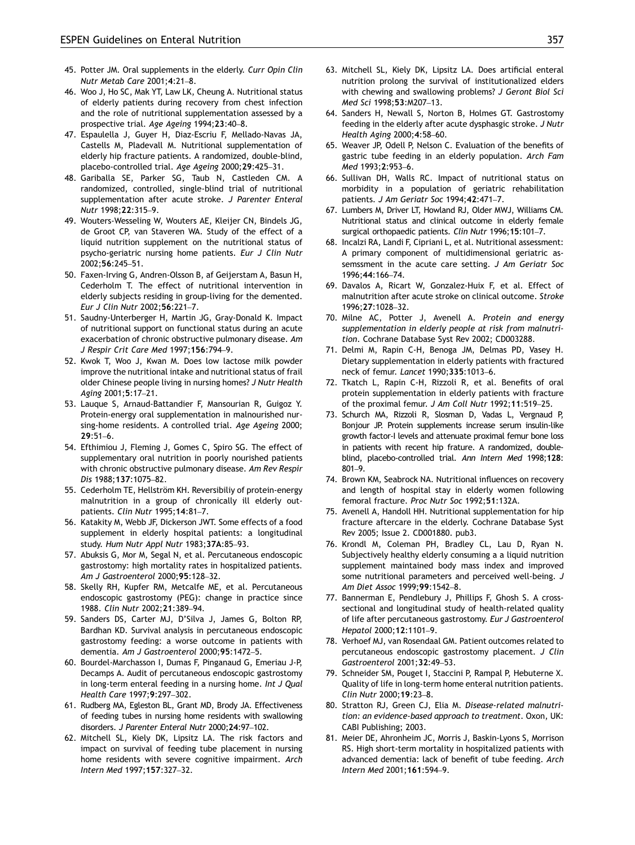- <span id="page-27-0"></span>45. Potter JM. Oral supplements in the elderly. Curr Opin Clin Nutr Metab Care 2001;4:21–8.
- 46. Woo J, Ho SC, Mak YT, Law LK, Cheung A. Nutritional status of elderly patients during recovery from chest infection and the role of nutritional supplementation assessed by a prospective trial. Age Ageing 1994;23:40–8.
- 47. Espaulella J, Guyer H, Diaz-Escriu F, Mellado-Navas JA, Castells M, Pladevall M. Nutritional supplementation of elderly hip fracture patients. A randomized, double-blind, placebo-controlled trial. Age Ageing 2000;29:425–31.
- 48. Gariballa SE, Parker SG, Taub N, Castleden CM. A randomized, controlled, single-blind trial of nutritional supplementation after acute stroke. J Parenter Enteral Nutr 1998;22:315–9.
- 49. Wouters-Wesseling W, Wouters AE, Kleijer CN, Bindels JG, de Groot CP, van Staveren WA. Study of the effect of a liquid nutrition supplement on the nutritional status of psycho-geriatric nursing home patients. Eur J Clin Nutr 2002;56:245–51.
- 50. Faxen-Irving G, Andren-Olsson B, af Geijerstam A, Basun H, Cederholm T. The effect of nutritional intervention in elderly subjects residing in group-living for the demented. Eur J Clin Nutr 2002;56:221–7.
- 51. Saudny-Unterberger H, Martin JG, Gray-Donald K. Impact of nutritional support on functional status during an acute exacerbation of chronic obstructive pulmonary disease. Am J Respir Crit Care Med 1997;156:794–9.
- 52. Kwok T, Woo J, Kwan M. Does low lactose milk powder improve the nutritional intake and nutritional status of frail older Chinese people living in nursing homes? J Nutr Health Aging 2001;5:17–21.
- 53. Lauque S, Arnaud-Battandier F, Mansourian R, Guigoz Y. Protein-energy oral supplementation in malnourished nursing-home residents. A controlled trial. Age Ageing 2000; 29:51–6.
- 54. Efthimiou J, Fleming J, Gomes C, Spiro SG. The effect of supplementary oral nutrition in poorly nourished patients with chronic obstructive pulmonary disease. Am Rev Respir Dis 1988;137:1075–82.
- 55. Cederholm TE, Hellström KH. Reversibiliy of protein-energy malnutrition in a group of chronically ill elderly outpatients. Clin Nutr 1995;14:81–7.
- 56. Katakity M, Webb JF, Dickerson JWT. Some effects of a food supplement in elderly hospital patients: a longitudinal study. Hum Nutr Appl Nutr 1983;37A:85–93.
- 57. Abuksis G, Mor M, Segal N, et al. Percutaneous endoscopic gastrostomy: high mortality rates in hospitalized patients. Am J Gastroenterol 2000;95:128–32.
- 58. Skelly RH, Kupfer RM, Metcalfe ME, et al. Percutaneous endoscopic gastrostomy (PEG): change in practice since 1988. Clin Nutr 2002;21:389–94.
- 59. Sanders DS, Carter MJ, D'Silva J, James G, Bolton RP, Bardhan KD. Survival analysis in percutaneous endoscopic gastrostomy feeding: a worse outcome in patients with dementia. Am J Gastroenterol 2000;95:1472–5.
- 60. Bourdel-Marchasson I, Dumas F, Pinganaud G, Emeriau J-P, Decamps A. Audit of percutaneous endoscopic gastrostomy in long-term enteral feeding in a nursing home. Int J Qual Health Care 1997;9:297–302.
- 61. Rudberg MA, Egleston BL, Grant MD, Brody JA. Effectiveness of feeding tubes in nursing home residents with swallowing disorders. J Parenter Enteral Nutr 2000;24:97–102.
- 62. Mitchell SL, Kiely DK, Lipsitz LA. The risk factors and impact on survival of feeding tube placement in nursing home residents with severe cognitive impairment. Arch Intern Med 1997;157:327–32.
- 63. Mitchell SL, Kiely DK, Lipsitz LA. Does artificial enteral nutrition prolong the survival of institutionalized elders with chewing and swallowing problems? J Geront Biol Sci Med Sci 1998;53:M207–13.
- 64. Sanders H, Newall S, Norton B, Holmes GT. Gastrostomy feeding in the elderly after acute dysphasgic stroke. J Nutr Health Aging 2000;4:58–60.
- 65. Weaver JP, Odell P, Nelson C. Evaluation of the benefits of gastric tube feeding in an elderly population. Arch Fam Med 1993;2:953–6.
- 66. Sullivan DH, Walls RC. Impact of nutritional status on morbidity in a population of geriatric rehabilitation patients. J Am Geriatr Soc 1994;42:471–7.
- 67. Lumbers M, Driver LT, Howland RJ, Older MWJ, Williams CM. Nutritional status and clinical outcome in elderly female surgical orthopaedic patients. Clin Nutr 1996;15:101–7.
- 68. Incalzi RA, Landi F, Cipriani L, et al. Nutritional assessment: A primary component of multidimensional geriatric assemssment in the acute care setting. J Am Geriatr Soc 1996;44:166–74.
- 69. Davalos A, Ricart W, Gonzalez-Huix F, et al. Effect of malnutrition after acute stroke on clinical outcome. Stroke 1996;27:1028–32.
- 70. Milne AC, Potter J, Avenell A. Protein and energy supplementation in elderly people at risk from malnutrition. Cochrane Database Syst Rev 2002; CD003288.
- 71. Delmi M, Rapin C-H, Benoga JM, Delmas PD, Vasey H. Dietary supplementation in elderly patients with fractured neck of femur. Lancet 1990;335:1013–6.
- 72. Tkatch L, Rapin C-H, Rizzoli R, et al. Benefits of oral protein supplementation in elderly patients with fracture of the proximal femur. J Am Coll Nutr 1992;11:519–25.
- 73. Schurch MA, Rizzoli R, Slosman D, Vadas L, Vergnaud P, Bonjour JP. Protein supplements increase serum insulin-like growth factor-I levels and attenuate proximal femur bone loss in patients with recent hip frature. A randomized, doubleblind, placebo-controlled trial. Ann Intern Med 1998;128: 801–9.
- 74. Brown KM, Seabrock NA. Nutritional influences on recovery and length of hospital stay in elderly women following femoral fracture. Proc Nutr Soc 1992;51:132A.
- 75. Avenell A, Handoll HH. Nutritional supplementation for hip fracture aftercare in the elderly. Cochrane Database Syst Rev 2005; Issue 2. CD001880. pub3.
- 76. Krondl M, Coleman PH, Bradley CL, Lau D, Ryan N. Subjectively healthy elderly consuming a a liquid nutrition supplement maintained body mass index and improved some nutritional parameters and perceived well-being. J Am Diet Assoc 1999;99:1542–8.
- 77. Bannerman E, Pendlebury J, Phillips F, Ghosh S. A crosssectional and longitudinal study of health-related quality of life after percutaneous gastrostomy. Eur J Gastroenterol Hepatol 2000;12:1101–9.
- 78. Verhoef MJ, van Rosendaal GM. Patient outcomes related to percutaneous endoscopic gastrostomy placement. J Clin Gastroenterol 2001;32:49–53.
- 79. Schneider SM, Pouget I, Staccini P, Rampal P, Hebuterne X. Quality of life in long-term home enteral nutrition patients. Clin Nutr 2000;19:23–8.
- 80. Stratton RJ, Green CJ, Elia M. Disease-related malnutrition: an evidence-based approach to treatment. Oxon, UK: CABI Publishing; 2003.
- 81. Meier DE, Ahronheim JC, Morris J, Baskin-Lyons S, Morrison RS. High short-term mortality in hospitalized patients with advanced dementia: lack of benefit of tube feeding. Arch Intern Med 2001;161:594–9.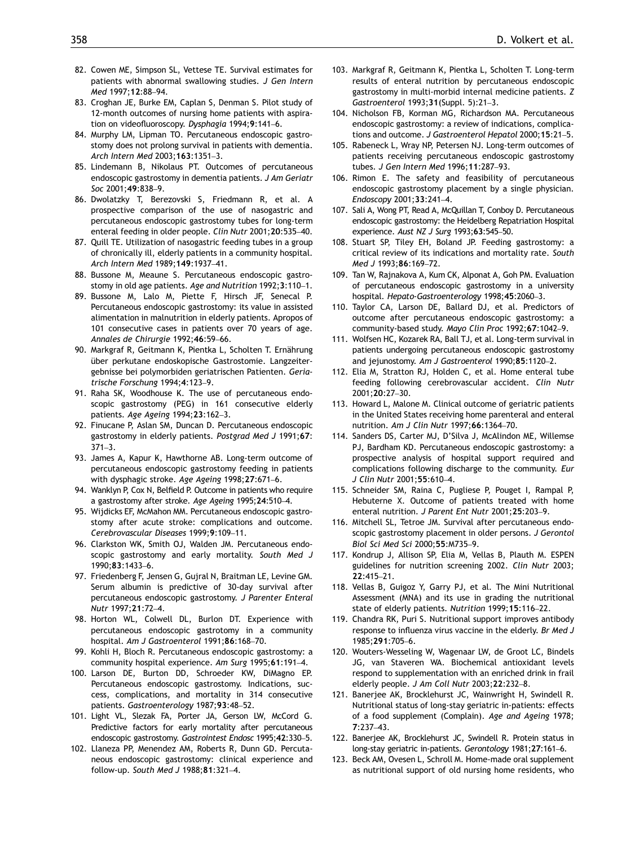- <span id="page-28-0"></span>82. Cowen ME, Simpson SL, Vettese TE. Survival estimates for patients with abnormal swallowing studies. J Gen Intern Med 1997;12:88–94.
- 83. Croghan JE, Burke EM, Caplan S, Denman S. Pilot study of 12-month outcomes of nursing home patients with aspiration on videofluoroscopy. Dysphagia 1994;9:141–6.
- 84. Murphy LM, Lipman TO. Percutaneous endoscopic gastrostomy does not prolong survival in patients with dementia. Arch Intern Med 2003;163:1351–3.
- 85. Lindemann B, Nikolaus PT. Outcomes of percutaneous endoscopic gastrostomy in dementia patients. J Am Geriatr Soc 2001;49:838–9.
- 86. Dwolatzky T, Berezovski S, Friedmann R, et al. A prospective comparison of the use of nasogastric and percutaneous endoscopic gastrostomy tubes for long-term enteral feeding in older people. Clin Nutr 2001;20:535–40.
- 87. Quill TE. Utilization of nasogastric feeding tubes in a group of chronically ill, elderly patients in a community hospital. Arch Intern Med 1989;149:1937–41.
- 88. Bussone M, Meaune S. Percutaneous endoscopic gastrostomy in old age patients. Age and Nutrition 1992;3:110–1.
- 89. Bussone M, Lalo M, Piette F, Hirsch JF, Senecal P. Percutaneous endoscopic gastrostomy: its value in assisted alimentation in malnutrition in elderly patients. Apropos of 101 consecutive cases in patients over 70 years of age. Annales de Chirurgie 1992;46:59–66.
- 90. Markgraf R, Geitmann K, Pientka L, Scholten T. Ernährung über perkutane endoskopische Gastrostomie. Langzeitergebnisse bei polymorbiden geriatrischen Patienten. Geriatrische Forschung 1994;4:123–9.
- 91. Raha SK, Woodhouse K. The use of percutaneous endoscopic gastrostomy (PEG) in 161 consecutive elderly patients. Age Ageing 1994;23:162–3.
- 92. Finucane P, Aslan SM, Duncan D. Percutaneous endoscopic gastrostomy in elderly patients. Postgrad Med J 1991;67: 371–3.
- 93. James A, Kapur K, Hawthorne AB. Long-term outcome of percutaneous endoscopic gastrostomy feeding in patients with dysphagic stroke. Age Ageing 1998;27:671–6.
- 94. Wanklyn P, Cox N, Belfield P. Outcome in patients who require a gastrostomy after stroke. Age Ageing 1995;24:510–4.
- 95. Wijdicks EF, McMahon MM. Percutaneous endoscopic gastrostomy after acute stroke: complications and outcome. Cerebrovascular Diseases 1999;9:109–11.
- 96. Clarkston WK, Smith OJ, Walden JM. Percutaneous endoscopic gastrostomy and early mortality. South Med J 1990;83:1433–6.
- 97. Friedenberg F, Jensen G, Gujral N, Braitman LE, Levine GM. Serum albumin is predictive of 30-day survival after percutaneous endoscopic gastrostomy. J Parenter Enteral Nutr 1997;21:72–4.
- 98. Horton WL, Colwell DL, Burlon DT. Experience with percutaneous endoscopic gastrotomy in a community hospital. Am J Gastroenterol 1991;86:168–70.
- 99. Kohli H, Bloch R. Percutaneous endoscopic gastrostomy: a community hospital experience. Am Surg 1995;61:191–4.
- 100. Larson DE, Burton DD, Schroeder KW, DiMagno EP. Percutaneous endoscopic gastrostomy. Indications, success, complications, and mortality in 314 consecutive patients. Gastroenterology 1987;93:48–52.
- 101. Light VL, Slezak FA, Porter JA, Gerson LW, McCord G. Predictive factors for early mortality after percutaneous endoscopic gastrostomy. Gastrointest Endosc 1995;42:330–5.
- 102. Llaneza PP, Menendez AM, Roberts R, Dunn GD. Percutaneous endoscopic gastrostomy: clinical experience and follow-up. South Med J 1988;81:321–4.
- 103. Markgraf R, Geitmann K, Pientka L, Scholten T. Long-term results of enteral nutrition by percutaneous endoscopic gastrostomy in multi-morbid internal medicine patients. Z Gastroenterol 1993;31(Suppl. 5):21–3.
- 104. Nicholson FB, Korman MG, Richardson MA. Percutaneous endoscopic gastrostomy: a review of indications, complications and outcome. J Gastroenterol Hepatol 2000;15:21–5.
- 105. Rabeneck L, Wray NP, Petersen NJ. Long-term outcomes of patients receiving percutaneous endoscopic gastrostomy tubes. J Gen Intern Med 1996;11:287–93.
- 106. Rimon E. The safety and feasibility of percutaneous endoscopic gastrostomy placement by a single physician. Endoscopy 2001;33:241–4.
- 107. Sali A, Wong PT, Read A, McQuillan T, Conboy D. Percutaneous endoscopic gastrostomy: the Heidelberg Repatriation Hospital experience. Aust NZ J Surg 1993;63:545–50.
- 108. Stuart SP, Tiley EH, Boland JP. Feeding gastrostomy: a critical review of its indications and mortality rate. South Med J 1993;86:169–72.
- 109. Tan W, Rajnakova A, Kum CK, Alponat A, Goh PM. Evaluation of percutaneous endoscopic gastrostomy in a university hospital. Hepato-Gastroenterology 1998;45:2060–3.
- 110. Taylor CA, Larson DE, Ballard DJ, et al. Predictors of outcome after percutaneous endoscopic gastrostomy: a community-based study. Mayo Clin Proc 1992;67:1042–9.
- 111. Wolfsen HC, Kozarek RA, Ball TJ, et al. Long-term survival in patients undergoing percutaneous endoscopic gastrostomy and jejunostomy. Am J Gastroenterol 1990;85:1120–2.
- 112. Elia M, Stratton RJ, Holden C, et al. Home enteral tube feeding following cerebrovascular accident. Clin Nutr 2001;20:27–30.
- 113. Howard L, Malone M. Clinical outcome of geriatric patients in the United States receiving home parenteral and enteral nutrition. Am J Clin Nutr 1997;66:1364–70.
- 114. Sanders DS, Carter MJ, D'Silva J, McAlindon ME, Willemse PJ, Bardham KD. Percutaneous endoscopic gastrostomy: a prospective analysis of hospital support required and complications following discharge to the community. Eur J Clin Nutr 2001;55:610–4.
- 115. Schneider SM, Raina C, Pugliese P, Pouget I, Rampal P, Hebuterne X. Outcome of patients treated with home enteral nutrition. J Parent Ent Nutr 2001;25:203–9.
- 116. Mitchell SL, Tetroe JM. Survival after percutaneous endoscopic gastrostomy placement in older persons. J Gerontol Biol Sci Med Sci 2000;55:M735–9.
- 117. Kondrup J, Allison SP, Elia M, Vellas B, Plauth M. ESPEN guidelines for nutrition screening 2002. Clin Nutr 2003; 22:415–21.
- 118. Vellas B, Guigoz Y, Garry PJ, et al. The Mini Nutritional Assessment (MNA) and its use in grading the nutritional state of elderly patients. Nutrition 1999;15:116–22.
- 119. Chandra RK, Puri S. Nutritional support improves antibody response to influenza virus vaccine in the elderly. Br Med J 1985;291:705–6.
- 120. Wouters-Wesseling W, Wagenaar LW, de Groot LC, Bindels JG, van Staveren WA. Biochemical antioxidant levels respond to supplementation with an enriched drink in frail elderly people. J Am Coll Nutr 2003;22:232–8.
- 121. Banerjee AK, Brocklehurst JC, Wainwright H, Swindell R. Nutritional status of long-stay geriatric in-patients: effects of a food supplement (Complain). Age and Ageing 1978; 7:237–43.
- 122. Banerjee AK, Brocklehurst JC, Swindell R. Protein status in long-stay geriatric in-patients. Gerontology 1981;27:161–6.
- 123. Beck AM, Ovesen L, Schroll M. Home-made oral supplement as nutritional support of old nursing home residents, who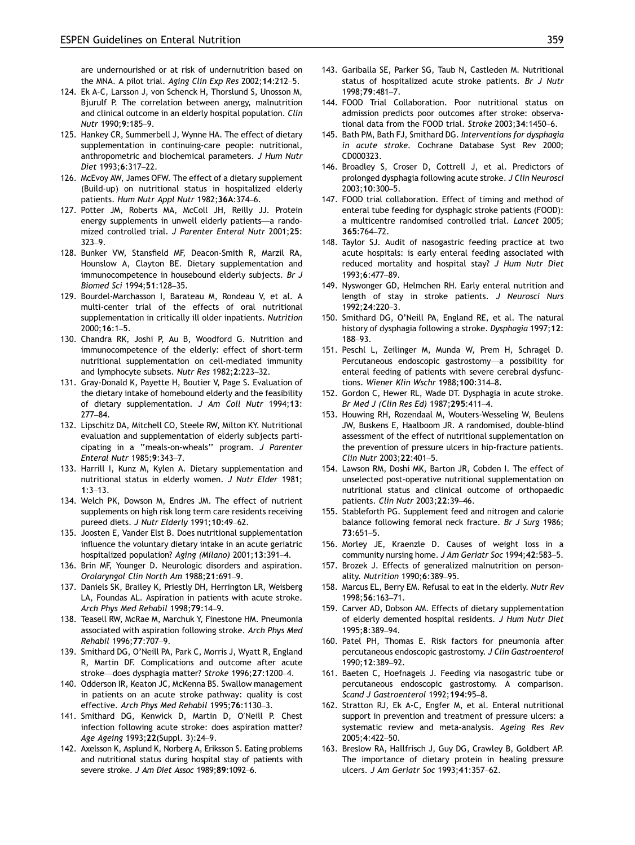<span id="page-29-0"></span>are undernourished or at risk of undernutrition based on the MNA. A pilot trial. Aging Clin Exp Res 2002;14:212–5.

- 124. Ek A-C, Larsson J, von Schenck H, Thorslund S, Unosson M, Bjurulf P. The correlation between anergy, malnutrition and clinical outcome in an elderly hospital population. Clin Nutr 1990;9:185–9.
- 125. Hankey CR, Summerbell J, Wynne HA. The effect of dietary supplementation in continuing-care people: nutritional, anthropometric and biochemical parameters. J Hum Nutr Diet 1993;6:317–22.
- 126. McEvoy AW, James OFW. The effect of a dietary supplement (Build-up) on nutritional status in hospitalized elderly patients. Hum Nutr Appl Nutr 1982;36A:374–6.
- 127. Potter JM, Roberts MA, McColl JH, Reilly JJ. Protein energy supplements in unwell elderly patients—a randomized controlled trial. J Parenter Enteral Nutr 2001;25: 323–9.
- 128. Bunker VW, Stansfield MF, Deacon-Smith R, Marzil RA, Hounslow A, Clayton BE. Dietary supplementation and immunocompetence in housebound elderly subjects. Br J Biomed Sci 1994;51:128–35.
- 129. Bourdel-Marchasson I, Barateau M, Rondeau V, et al. A multi-center trial of the effects of oral nutritional supplementation in critically ill older inpatients. Nutrition 2000;16:1–5.
- 130. Chandra RK, Joshi P, Au B, Woodford G. Nutrition and immunocompetence of the elderly: effect of short-term nutritional supplementation on cell-mediated immunity and lymphocyte subsets. Nutr Res 1982;2:223–32.
- 131. Gray-Donald K, Payette H, Boutier V, Page S. Evaluation of the dietary intake of homebound elderly and the feasibility of dietary supplementation. J Am Coll Nutr 1994;13: 277–84.
- 132. Lipschitz DA, Mitchell CO, Steele RW, Milton KY. Nutritional evaluation and supplementation of elderly subjects participating in a ''meals-on-wheals'' program. J Parenter Enteral Nutr 1985;9:343–7.
- 133. Harrill I, Kunz M, Kylen A. Dietary supplementation and nutritional status in elderly women. J Nutr Elder 1981; 1:3–13.
- 134. Welch PK, Dowson M, Endres JM. The effect of nutrient supplements on high risk long term care residents receiving pureed diets. J Nutr Elderly 1991;10:49–62.
- 135. Joosten E, Vander Elst B. Does nutritional supplementation influence the voluntary dietary intake in an acute geriatric hospitalized population? Aging (Milano) 2001;13:391–4.
- 136. Brin MF, Younger D. Neurologic disorders and aspiration. Orolaryngol Clin North Am 1988;21:691–9.
- 137. Daniels SK, Brailey K, Priestly DH, Herrington LR, Weisberg LA, Foundas AL. Aspiration in patients with acute stroke. Arch Phys Med Rehabil 1998;79:14–9.
- 138. Teasell RW, McRae M, Marchuk Y, Finestone HM. Pneumonia associated with aspiration following stroke. Arch Phys Med Rehabil 1996;77:707–9.
- 139. Smithard DG, O'Neill PA, Park C, Morris J, Wyatt R, England R, Martin DF. Complications and outcome after acute stroke—does dysphagia matter? Stroke 1996;27:1200–4.
- 140. Odderson IR, Keaton JC, McKenna BS. Swallow management in patients on an acute stroke pathway: quality is cost effective. Arch Phys Med Rehabil 1995;76:1130–3.
- 141. Smithard DG, Kenwick D, Martin D, O'Neill P. Chest infection following acute stroke: does aspiration matter? Age Ageing 1993;22(Suppl. 3):24–9.
- 142. Axelsson K, Asplund K, Norberg A, Eriksson S. Eating problems and nutritional status during hospital stay of patients with severe stroke. J Am Diet Assoc 1989;89:1092–6.
- 143. Gariballa SE, Parker SG, Taub N, Castleden M. Nutritional status of hospitalized acute stroke patients. Br J Nutr 1998;79:481–7.
- 144. FOOD Trial Collaboration. Poor nutritional status on admission predicts poor outcomes after stroke: observational data from the FOOD trial. Stroke 2003;34:1450–6.
- 145. Bath PM, Bath FJ, Smithard DG. Interventions for dysphagia in acute stroke. Cochrane Database Syst Rev 2000; CD000323.
- 146. Broadley S, Croser D, Cottrell J, et al. Predictors of prolonged dysphagia following acute stroke. J Clin Neurosci 2003;10:300–5.
- 147. FOOD trial collaboration. Effect of timing and method of enteral tube feeding for dysphagic stroke patients (FOOD): a multicentre randomised controlled trial. Lancet 2005; 365:764–72.
- 148. Taylor SJ. Audit of nasogastric feeding practice at two acute hospitals: is early enteral feeding associated with reduced mortality and hospital stay? J Hum Nutr Diet 1993;6:477–89.
- 149. Nyswonger GD, Helmchen RH. Early enteral nutrition and length of stay in stroke patients. J Neurosci Nurs 1992;24:220–3.
- 150. Smithard DG, O'Neill PA, England RE, et al. The natural history of dysphagia following a stroke. Dysphagia 1997;12: 188–93.
- 151. Peschl L, Zeilinger M, Munda W, Prem H, Schragel D. Percutaneous endoscopic gastrostomy—a possibility for enteral feeding of patients with severe cerebral dysfunctions. Wiener Klin Wschr 1988;100:314–8.
- 152. Gordon C, Hewer RL, Wade DT. Dysphagia in acute stroke. Br Med J (Clin Res Ed) 1987;295:411–4.
- 153. Houwing RH, Rozendaal M, Wouters-Wesseling W, Beulens JW, Buskens E, Haalboom JR. A randomised, double-blind assessment of the effect of nutritional supplementation on the prevention of pressure ulcers in hip-fracture patients. Clin Nutr 2003;22:401–5.
- 154. Lawson RM, Doshi MK, Barton JR, Cobden I. The effect of unselected post-operative nutritional supplementation on nutritional status and clinical outcome of orthopaedic patients. Clin Nutr 2003;22:39–46.
- 155. Stableforth PG. Supplement feed and nitrogen and calorie balance following femoral neck fracture. Br J Surg 1986; 73:651–5.
- 156. Morley JE, Kraenzle D. Causes of weight loss in a community nursing home. J Am Geriatr Soc 1994;42:583–5.
- 157. Brozek J. Effects of generalized malnutrition on personality. Nutrition 1990;6:389–95.
- 158. Marcus EL, Berry EM. Refusal to eat in the elderly. Nutr Rev 1998;56:163–71.
- 159. Carver AD, Dobson AM. Effects of dietary supplementation of elderly demented hospital residents. J Hum Nutr Diet 1995;8:389–94.
- 160. Patel PH, Thomas E. Risk factors for pneumonia after percutaneous endoscopic gastrostomy. J Clin Gastroenterol 1990;12:389–92.
- 161. Baeten C, Hoefnagels J. Feeding via nasogastric tube or percutaneous endoscopic gastrostomy. A comparison. Scand J Gastroenterol 1992;194:95–8.
- 162. Stratton RJ, Ek A-C, Engfer M, et al. Enteral nutritional support in prevention and treatment of pressure ulcers: a systematic review and meta-analysis. Ageing Res Rev 2005;4:422–50.
- 163. Breslow RA, Hallfrisch J, Guy DG, Crawley B, Goldbert AP. The importance of dietary protein in healing pressure ulcers. J Am Geriatr Soc 1993;41:357–62.